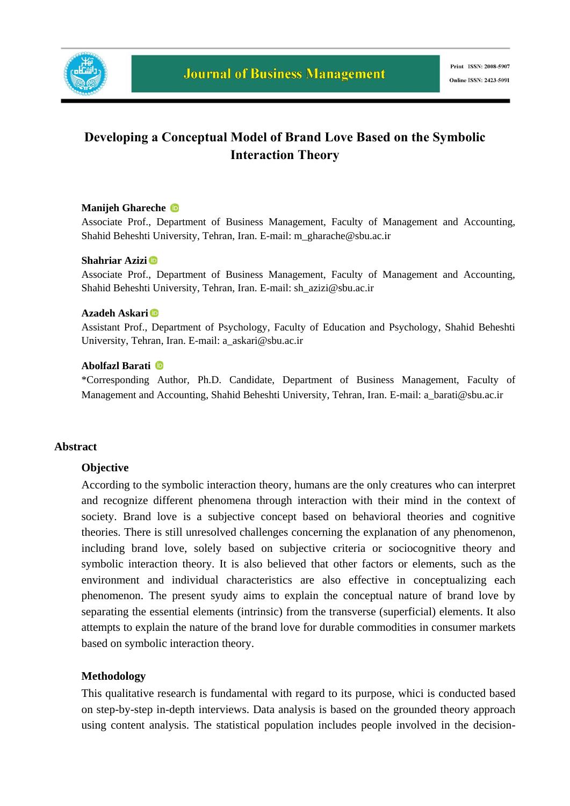

# **Developing a Conceptual Model of Brand Love Based on the Symbolic Interaction Theory**

### **Manijeh Ghareche**

Associate Prof., Department of Business Management, Faculty of Management and Accounting, Shahid Beheshti University, Tehran, Iran. E-mail: m\_gharache@sbu.ac.ir

### **Shahriar Azizi**

Associate Prof., Department of Business Management, Faculty of Management and Accounting, Shahid Beheshti University, Tehran, Iran. E-mail: sh\_azizi@sbu.ac.ir

### **Azadeh Askari**

Assistant Prof., Department of Psychology, Faculty of Education and Psychology, Shahid Beheshti University, Tehran, Iran. E-mail: a\_askari@sbu.ac.ir

### **Abolfazl Barati**

\*Corresponding Author*,* Ph.D. Candidate, Department of Business Management, Faculty of Management and Accounting, Shahid Beheshti University, Tehran, Iran. E-mail: a\_barati@sbu.ac.ir

### **Abstract**

### **Objective**

According to the symbolic interaction theory, humans are the only creatures who can interpret and recognize different phenomena through interaction with their mind in the context of society. Brand love is a subjective concept based on behavioral theories and cognitive theories. There is still unresolved challenges concerning the explanation of any phenomenon, including brand love, solely based on subjective criteria or sociocognitive theory and symbolic interaction theory. It is also believed that other factors or elements, such as the environment and individual characteristics are also effective in conceptualizing each phenomenon. The present syudy aims to explain the conceptual nature of brand love by separating the essential elements (intrinsic) from the transverse (superficial) elements. It also attempts to explain the nature of the brand love for durable commodities in consumer markets based on symbolic interaction theory.

### **Methodology**

This qualitative research is fundamental with regard to its purpose, whici is conducted based on step-by-step in-depth interviews. Data analysis is based on the grounded theory approach using content analysis. The statistical population includes people involved in the decision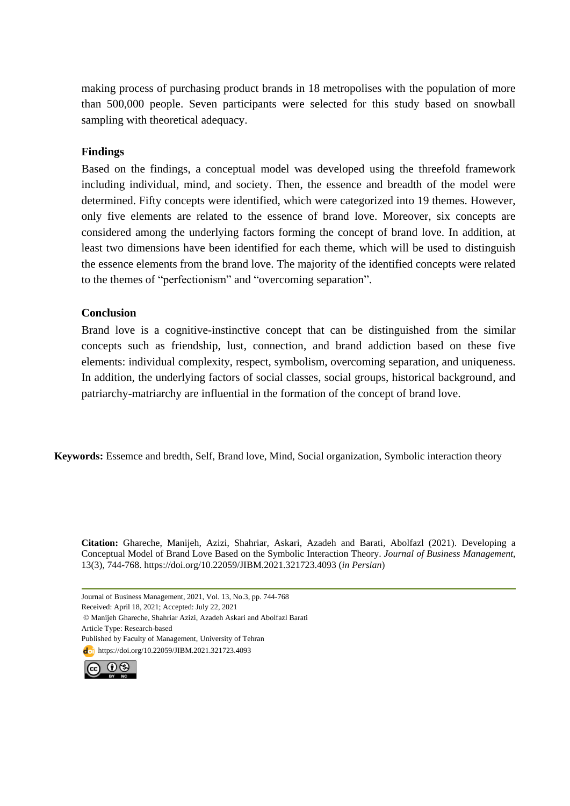making process of purchasing product brands in 18 metropolises with the population of more than 500,000 people. Seven participants were selected for this study based on snowball sampling with theoretical adequacy.

### **Findings**

Based on the findings, a conceptual model was developed using the threefold framework including individual, mind, and society. Then, the essence and breadth of the model were determined. Fifty concepts were identified, which were categorized into 19 themes. However, only five elements are related to the essence of brand love. Moreover, six concepts are considered among the underlying factors forming the concept of brand love. In addition, at least two dimensions have been identified for each theme, which will be used to distinguish the essence elements from the brand love. The majority of the identified concepts were related to the themes of "perfectionism" and "overcoming separation".

# **Conclusion**

Brand love is a cognitive-instinctive concept that can be distinguished from the similar concepts such as friendship, lust, connection, and brand addiction based on these five elements: individual complexity, respect, symbolism, overcoming separation, and uniqueness. In addition, the underlying factors of social classes, social groups, historical background, and patriarchy-matriarchy are influential in the formation of the concept of brand love.

**Keywords:** Essemce and bredth, Self, Brand love, Mind, Social organization, Symbolic interaction theory

**Citation:** Ghareche, Manijeh, Azizi, Shahriar, Askari, Azadeh and Barati, Abolfazl (2021). Developing a Conceptual Model of Brand Love Based on the Symbolic Interaction Theory. *Journal of Business Management,*  13(3), 744-768. https://doi.org/10.22059/JIBM.2021.321723.4093 (*in Persian*)

Journal of Business Management, 2021, Vol. 13, No.3, pp. 744-768

Received: April 18, 2021; Accepted: July 22, 2021

© Manijeh Ghareche, Shahriar Azizi, Azadeh Askari and Abolfazl Barati Article Type: Research-based

Published by Faculty of Management, University of Tehran

doj https://doi.org/10.22059/JIBM.2021.321723.4093

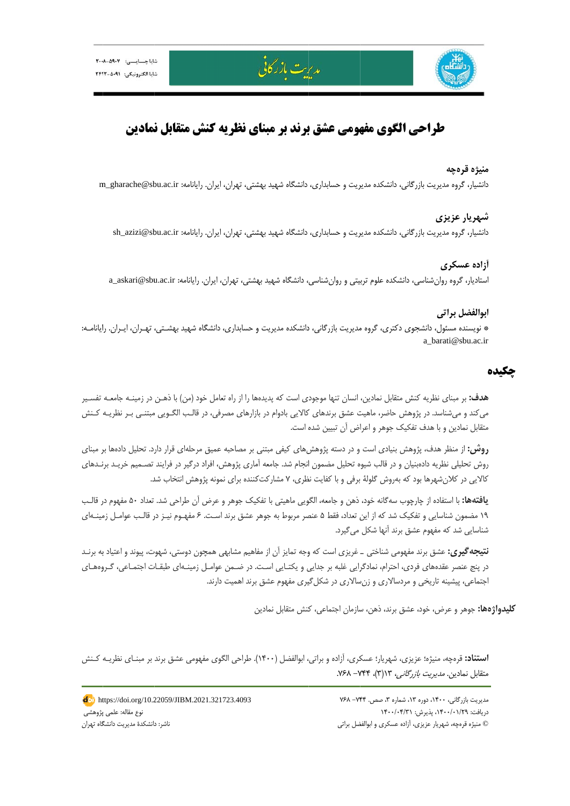

# **طراحي الگوي مفهومي عشق برند بر مبناي نظريه كنش متقابل نمادين**

مديريت بازر كانى

### **رهچه منيژه قر**

دانشيار، گروه مديريت بازرگاني، دانشكده مديريت و حسابداري، دانشگاه شهيد بهشتي، تهران، ايران. رايانامه: m\_gharache@sbu.ac.ir

### **ر عزيزي شهريار**

دانشيار، گروه مديريت بازرگاني، دانشكده مديريت و حسابداري، دانشگاه شهيد بهشتي، تهران، ايران. رايانامه: sh\_azizi@sbu.ac.ir

### **سكري آزاده عس**

ستاديار، گروه روانشناسي، دانشكده علوم تربيتي و روانشناسي، دانشگاه شهيد بهشتي، تهران، ايران. رايانامه: a\_askari@sbu.ac.ir

### **ل براتي ابوالفضل**

\* نويسنده مسئول، دانشجوي دكتري، گروه مديريت بازرگاني، دانشكده مديريت و حسابداري، دانشگاه شهيد بهشـتي، تهـران، ايـران. رايانامـه: شتي، تهران، ايران.<br>شتي، تهران، ايران.<br>هشتي، تهران، ايران<br>و حسابداري، دانشگا a\_barati@sb bu.ac.ir

## **چكيده چ**

ه**دف:** بر مبنای نظریه کنش متقابل نمادین، انسان تنها موجودی است که پدیدهها را از راه تعامل خود (من) با ذهـن در زمینـه جامعـه تفسـیر می كند و میشناسد. در پژوهش حاضر، ماهیت عشق برندهای كالایی بادوام در بازارهای مصرفی، در قالـب الگـویی مبتنـی بـر نظریـه كـنش متقابل نمادين و با هدف تفكيک جوهر و اعراض آن تبيين شده است.

**روش:** از منظر هدف، پژوهش بنيادى است و در دسته پژوهشهاى كيفى مبتنى بر مصاحبه عميق مرحلهاى قرار دارد. تحليل دادهها بر مبناى روش تحليلي نظريه دادهبنيان و در قالب شيوه تحليل مضمون انجام شد. جامعه آماري پژوهش، افراد درگير در فرايند تصـميم خريـد برنـدهاي كالايي در كلانشهرها بود كه بەروش گلولهٔ برفي و با كفايت نظرى، ۷ مشاركتكننده براي نمونه پژوهش انتخاب شد.

**يافتهها:** با استفاده از چارچوب سهگانه خود، ذهن و جامعه، الگويى ماهيتى با تفكيک جوهر و عرض آن طراحى شد. تعداد ۵۰ مفهوم در قالـب ۱۹ مضمون شناسايي و تفكيک شد كه از اين تعداد، فقط ۵ عنصر مربوط به جوهر عشق برند است. ۶ مفهـوم نيـز در قالـب عوامـل زمينـهاي شناسايي شد كه مفهوم عشق برند آنها شكل ميگيرد.

**نتيجه گيري:** عشق برند مفهومي شناختي \_ غريزي است كه وجه تمايز آن از مفاهيم مشابهي همچون دوستي، شهوت، پيوند و اعتياد به برنـد در پنج عنصر عقدههای فردی، احترام، نمادگرايی غلبه بر جدايی و يكتـايی اسـت. در ضـمن عوامـل زمينـهای طبقـات اجتمـاعی، گـروههـای جتماعي، پيشينه تاريخي و مردسالاري و زنسالاري در شكل گيري مفهوم عشق برند اهميت دارند.

**كليدواژهها:** جوهر و عرض، خود، عشق برند، ذهن، سازمان اجتماعي، كنش متقابل نمادين

ا**ستناد:** قرهچه، منيژه؛ عزيزى، شهريار؛ عسكرى، آزاده و براتي، ابوالفضل (١۴٠٠). طراحي الگوى مفهومي عشق برند بر مبنـاى نظريــه كـنش متقابل نمادين. *مديريت بازرگاني،* ۱۳(۳)، ۷۴۴–۷۶۸.

> مديريت بازرگاني، ١۴٠٠، دوره ١٣، شماره ٣، صص. ٧۴۴ ـ ٧۶۸ © منيژه قرەچە، شهريار عزيزي، آزاده عسكري و ابوالفضل براتي دريافت: ١٣٠٠/٠١/٢٩، پذيرش: ١۴٠٠/٠۴/٣١

Ī

https://doi.org/10.22059/JIBM.2021.321723.4093 پژوهشي نوع مقاله: علمي پ ناشر: دانشكدة مديريت دانشگاه تهران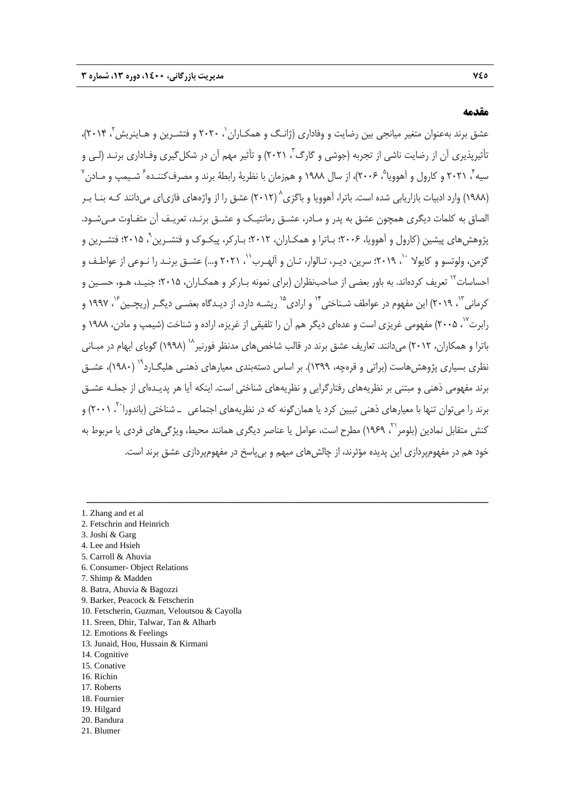#### **مقدمه**

عشق برند به عنوان متغير ميانجي بين رضايت و وفاداري (ژانـگ و همكـاران ، ٢٠٢٠ و فتشـر بن و هـاينريش ، ٢٠١۴، نأثيرپذيري آن از رضايت ناشي از تجربه (جوشي و گارگ<sup>۳</sup>، ۲۰۲۱) و تأثير مهم آن در شكلگيري وفـاداري برنـد (لـي و سيه ً، ۲۰۲۱ و كارول و اَهوويا ْ، ۲۰۰۶)، از سال ۱۹۸۸ و همزمان با نظريهٔ رابطهٔ برند و مصرف كننـده ً شـيمپ و مـادن ٌ 8 (1988) وارد ادبيات بازاريابي شده است. باترا، آهوويا و باگزي (2012) عشق را از واژههاي فازياي ميدانند كـه بنـا بـر الصاق به كلمات ديگري همچون عشق به پدر و مـادر، عشـق رمانتيـك و عشـق برنـد، تعريـف آن متفـاوت مـيشـود. بژوهشهای پیشین (كارول و آهوویا، ۲۰۰۶؛ بـاترا و همكـاران، ۲۰۱۲؛ بـاركر، پیكـوک و فتشـرین ْ، ۲۰۱۵؛ فتشـرین و گزمن، ولوتسو و كايولا <sup>۱۰</sup>، ٢٠١٩؛ سرين، ديـر، تـالوار، تـان و اَلهـرب'`، ٢٠٢١ و...) عشـق برنـد را نـوعي از عواطـف و 'حساسات<sup>۱۲</sup> تعريف كردهاند. به باور بعضى از صاحبنظران (براى نمونه بـاركر و همكـاران، ۲۰۱۵؛ جنيـد، هـو، حسـين و کرمانی<sup>۱۳</sup>، ۲۰۱۹) این مفهوم در عواطف شـناختی" و ارادی<sup>۱۵</sup> ریشـه دارد، از دیـدگاه بعضـی دیگـر (ریچـین<sup>۶۰</sup>، ۱۹۹۷ و رابرت<sup>۷</sup>'، ۲۰۰۵) مفهومی غریزی است و عدهای دیگر هم آن را تلفیقی از غریزه، اراده و شناخت (شیمپ و مادن، ۱۹۸۸ و باترا و همكاران، ٢٠١٢) مي دانند. تعاريف عشق برند در قالب شاخص هاي مدنظر فورنير<sup>٦٨</sup> (١٩٩٨) گوياي ابهام در مبـاني نظري بسياري پژوهش هاست (براتي و قرهچه، ١٣٩٩). بر اساس دستهبندي معيارهاي ذهنـي هليگـارد<sup>٢٩</sup> (١٩٨٠)، عشــق برند مفهومي ذهني و مبتني بر نظريههاي رفتارگرايي و نظريههاي شناختي است. اينكه آيا هر پديـدهاي از جملـه عشـق برند را میتوان تنها با معیارهای ذهنی تبیین کرد یا همان گونه که در نظریههای اجتماعی ــ شناختی (باندورا<sup>۲۰</sup>، ۲۰۰۱) و كنش متقابل نمادين (بلومر ``، ١٩۶٩) مطرح است، عوامل يا عناصر ديگرى همانند محيط، ويژگىهاى فردى يا مربوط به خود هم در مفهومپردازي اين پديده مؤثرند، از چالشهاي مبهم و بيپاسخ در مفهومپردازي عشق برند است.

- 1. Zhang and et al
- 2. Fetschrin and Heinrich
- 3. Joshi & Garg
- 4. Lee and Hsieh
- 5. Carroll & Ahuvia
- 6. Consumer- Object Relations
- 7. Shimp & Madden
- 8. Batra, Ahuvia & Bagozzi
- 9. Barker, Peacock & Fetscherin
- 10. Fetscherin, Guzman, Veloutsou & Cayolla
- 11. Sreen, Dhir, Talwar, Tan & Alharb
- 12. Emotions & Feelings
- 13. Junaid, Hou, Hussain & Kirmani
- 14. Cognitive
- 15. Conative
- 16. Richin
- 17. Roberts 18. Fournier
- 
- 19. Hilgard 20. Bandura
- 21. Blumer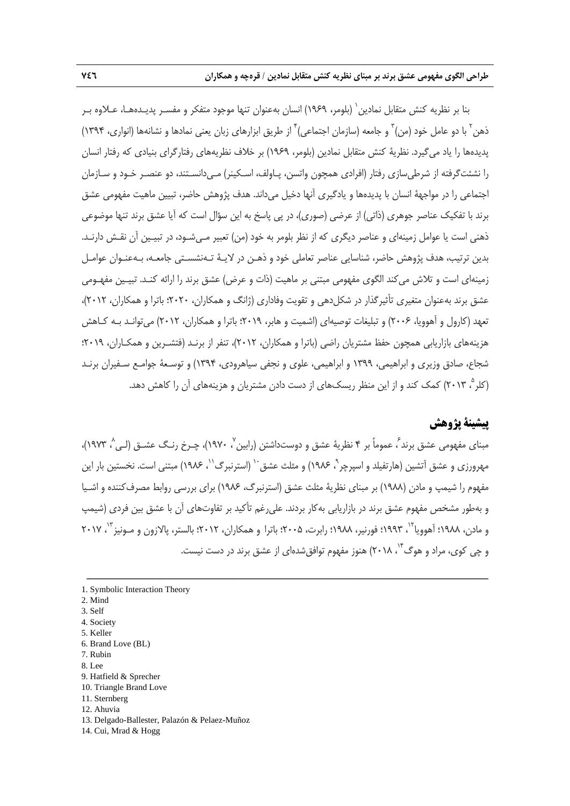بنا بر نظريه كنش متقابل نمادين` (بلومر، ١٩۶٩) انسان بهعنوان تنها موجود متفكر و مفسـر پديـدههـا، عـلاوه بـر ذهن<sup>۲</sup> با دو عامل خود (من)<sup>۳</sup> و جامعه (سازمان اجتماعی)<sup>۴</sup> از طریق ابزارهای زبان یعنی نمادها و نشانهها (انواری، ۱۳۹۴) پديدهها را ياد ميگيرد. نظرية كنش متقابل نمادين (بلومر، 1969) بر خلاف نظريههاي رفتارگراي بنيادي كه رفتار انسان را نشئتگرفته از شرطيسازي رفتار (افرادي همچون واتسن، پـاولف، اسـكينر) مـيدانسـتند، دو عنصـر خـود و سـازمان اجتماعي را در مواجهة انسان با پديدهها و يادگيري آنها دخيل ميداند. هدف پژوهش حاضر، تبيين ماهيت مفهومي عشق برند با تفكيك عناصر جوهري (ذاتي) از عرضي (صوري)، در پي پاسخ به اين سؤال است كه آيا عشق برند تنها موضوعي ذهني است يا عوامل زمينهاي و عناصر ديگري كه از نظر بلومر به خود (من) تعبير مـيشـود، در تبيـين آن نقـش دارنـد. بدين ترتيب، هدف پژوهش حاضر، شناسايي عناصر تعاملي خود و ذهـن در لايـة تـهنشسـتي جامعـه، بـهعنـوان عوامـل زمينهاي است و تلاش ميكند الگوي مفهومي مبتني بر ماهيت (ذات و عرض) عشق برند را ارائه كنـد. تبيـين مفهـومي عشق برند بهعنوان متغيري تأثيرگذار در شكلدهي و تقويت وفاداري (ژانگ و همكاران، 2020؛ باترا و همكاران، 2012)، تعهد (كارول و آهوويا، 2006) و تبليغات توصيهاي (اشميت و هابر، 2019؛ باترا و همكاران، 2012) ميتوانـد بـه كـاهش هزينههاي بازاريابي همچون حفظ مشتريان راضي (باترا و همكاران، 2012)، تنفر از برنـد (فتشـرين و همكـاران، 2019؛ شجاع، صادق وزيري و ابراهيمي، 1399 و ابراهيمي، علوي و نجفي سياهرودي، 1394) و توسـعة جوامـع سـفيران برنـد ، 2013) كمك كند و از اين منظر ريسكهاي از دست دادن مشتريان و هزينههاي آن را كاهش دهد. <sup>5</sup> (كلر

# **پيشينة پژوهش**

مبناي مفهومي عشق برند ً، عموماً بر ۴ نظرية عشق و دوستداشتن (رابين ٬ ۱۹۷۰)، چـرخ رنـگ عشـق (لـي ٬ ۱۹۷۳)، مهرورزی و عشق آتشین (هارتفیلد و اسپرچر<sup>۹</sup>، ۱۹۸۶) و مثلث عشق<sup>۱۰</sup> (استرنبرگ<sup>۲۱</sup>، ۱۹۸۶) مبتنی است. نخستین بار این مفهوم را شيمپ و مادن (1988) بر مبناي نظرية مثلث عشق (استرنبرگ، 1986) براي بررسي روابط مصرفكننده و اشـيا و بهطور مشخص مفهوم عشق برند در بازاريابي بهكار بردند. عليرغم تأكيد بر تفاوتهاي آن با عشق بين فردي (شيمپ و مادن، ۱۹۸۸؛ آهوويا<sup>۱۲</sup>، ۱۹۹۳؛ فورنير، ۱۹۸۸؛ رابرت، ۲۰۰۵؛ باترا و همكاران، ۲۰۱۲؛ بالستر، پالازون و مـونيز <sup>۱۳</sup>، ۲۰۱۷ و چی کوی، مراد و هوگ<sup>۱۴</sup>، ۲۰۱۸) هنوز مفهوم توافقشدهای از عشق برند در دست نیست.

- 7. Rubin
- 8. Lee
- 9. Hatfield & Sprecher
- 10. Triangle Brand Love
- 11. Sternberg
- 12. Ahuvia
- 13. Delgado-Ballester, Palazón & Pelaez-Muñoz
- 14. Cui, Mrad & Hogg

<sup>1.</sup> Symbolic Interaction Theory

<sup>2.</sup> Mind

<sup>3.</sup> Self

<sup>4.</sup> Society

<sup>5.</sup> Keller

<sup>6.</sup> Brand Love (BL)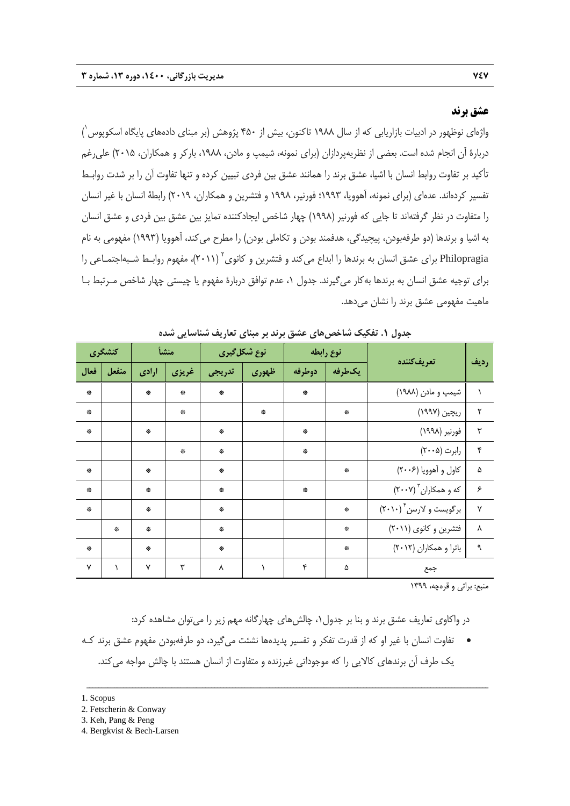### **عشق برند**

واژهای نوظهور در ادبيات بازاريابی كه از سال ۱۹۸۸ تاكنون، بيش از ۴۵۰ پژوهش (بر مبنای دادههای پايگاه اسكوپوس ٰ) دربارة آن انجام شده است. بعضي از نظريهپردازان (براي نمونه، شيمپ و مادن، ،1988 باركر و همكاران، 2015) عليرغم تأكيد بر تفاوت روابط انسان با اشيا، عشق برند را همانند عشق بين فردي تبيين كرده و تنها تفاوت آن را بر شدت روابـط تفسير كردهاند. عدهاي (براي نمونه، آهوويا، 1993؛ فورنير، 1998 و فتشرين و همكاران، 2019) رابطة انسان با غير انسان را متفاوت در نظر گرفتهاند تا جايي كه فورنير (1998) چهار شاخص ايجادكننده تمايز بين عشق بين فردي و عشق انسان به اشيا و برندها (دو طرفهبودن، پيچيدگي، هدفمند بودن و تكاملي بودن) را مطرح ميكند، آهوويا (1993) مفهومي به نام Philopragia براي عشق انسان به برندها را ابداع مي كند و فتشرين و كانوي<sup>٢</sup> (٢٠١١)، مفهوم روابـط شـبهاجتمـاعي را براي توجيه عشق انسان به برندها بهكار ميگيرند. جدول ،1 عدم توافق دربارة مفهوم يا چيستي چهار شاخص مـرتبط بـا ماهيت مفهومي عشق برند را نشان ميدهد.

|      | كنشگرى |              | منشأ  |        | نوع شکل گیری | نوع رابطه |                                   | تعريفكننده             | رديف |
|------|--------|--------------|-------|--------|--------------|-----------|-----------------------------------|------------------------|------|
| فعال | منفعل  | ارادى        | غريزي | تدريجي | ظهورى        | دوطرفه    | يكطرفه                            |                        |      |
| 崇    |        | 崇            | ₩     | 崇      |              | 崇         |                                   | شیمپ و مادن (۱۹۸۸)     |      |
| 崇    |        |              | ₩     |        | 崇            |           | 崇                                 | ریچین (۱۹۹۷)           | ٢    |
| 崇    |        | 崇            |       | 崇      |              | 崇         |                                   | فورنير (١٩٩٨)          | ٣    |
|      |        |              | 崇     | 崇      |              | 崇         |                                   | رابرت (۲۰۰۵)           | ۴    |
| 崇    |        | ₩            |       | 崇      |              |           | $\frac{d\mathbf{x}}{d\mathbf{x}}$ | کاول و آهوويا (۲۰۰۶)   | ۵    |
| 崇    |        | 崇            |       | 崇      |              | 崇         |                                   | که و همکاران ۳ (۲۰۰۷)  | ۶    |
| 崇    |        | 崇            |       | 崇      |              |           | 崇                                 | برگویست و لارسن ۲۰۱۰)  | Y    |
|      | 崇      | 崇            |       | 崇      |              |           | 崇                                 | فتشرين وكانوي (٢٠١١)   | ٨    |
| 崇    |        | 崇            |       | 崇      |              |           | 崇                                 | باترا و همكاران (٢٠١٢) | ٩    |
| γ    | V      | $\mathsf{v}$ | ٣     | γ      | ١            | ۴         | ۵                                 | جمع                    |      |

**جدول .1 تفكيك شاخصهاي عشق برند بر مبناي تعاريف شناسايي شده** 

منبع: براتي و قرهچه، 1399

در واكاوي تعاريف عشق برند و بنا بر جدول،1 چالشهاي چهارگانه مهم زير را ميتوان مشاهده كرد:

 تفاوت انسان با غير او كه از قدرت تفكر و تفسير پديدهها نشئت ميگيرد، دو طرفهبودن مفهوم عشق برند كـه يك طرف آن برندهاي كالايي را كه موجوداتي غيرزنده و متفاوت از انسان هستند با چالش مواجه ميكند.

- 2. Fetscherin & Conway
- 3. Keh, Pang & Peng
- 4. Bergkvist & Bech-Larsen

<sup>1.</sup> Scopus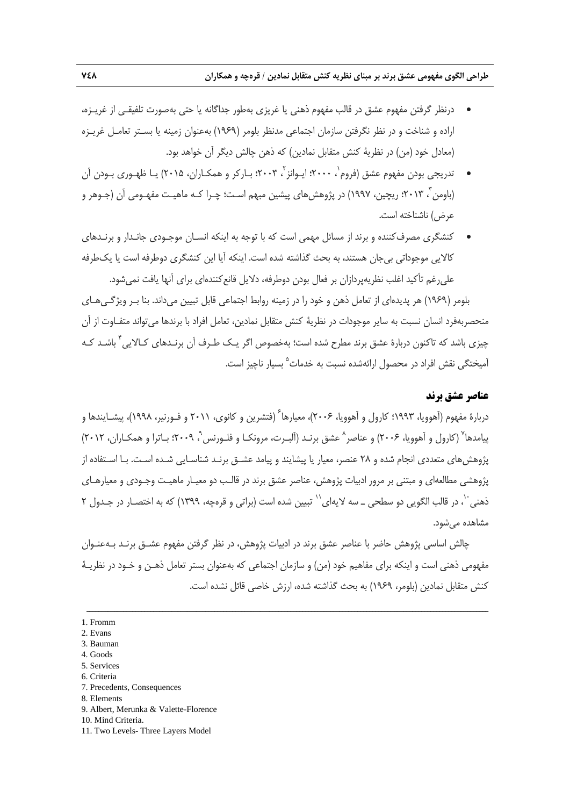- درنظر گرفتن مفهوم عشق در قالب مفهوم ذهني يا غريزي بهطور جداگانه يا حتي بهصورت تلفيقـي از غريـزه، اراده و شناخت و در نظر نگرفتن سازمان اجتماعي مدنظر بلومر (1969) بهعنوان زمينه يا بسـتر تعامـل غريـزه (معادل خود (من) در نظرية كنش متقابل نمادين) كه ذهن چالش ديگر آن خواهد بود.
- تدريجي بودن مفهوم عشق (فروم`، ۲۰۰۰؛ ايـوانز`، ۲۰۰۳؛ بـاركر و همكـاران، ۲۰۱۵) يـا ظهـوري بـودن آن 3 (باومن ، 2013؛ ريچين، 1997) در پژوهشهاي پيشين مبهم اسـت؛ چـرا كـه ماهيـت مفهـومي آن (جـوهر و عرض) ناشناخته است.
- كنشگري مصرفكننده و برند از مسائل مهمي است كه با توجه به اينكه انسـان موجـودي جانـدار و برنـدهاي كالايي موجوداتي بيجان هستند، به بحث گذاشته شده است. اينكه آيا اين كنشگري دوطرفه است يا يكطرفه عليرغم تأكيد اغلب نظريهپردازان بر فعال بودن دوطرفه، دلايل قانعكنندهاي براي آنها يافت نميشود.

بلومر (1969) هر پديدهاي از تعامل ذهن و خود را در زمينه روابط اجتماعي قابل تبيين ميداند. بنا بـر ويژگـيهـاي منحصربهفرد انسان نسبت به ساير موجودات در نظرية كنش متقابل نمادين، تعامل افراد با برندها ميتواند متفـاوت از آن چیزی باشد كه تاكنون دربارهٔ عشق برند مطرح شده است؛ بهخصوص اگر یـك طـرف آن برنـدهای كـالايی<sup>۴</sup> باشـد كـه آميختگي نقش افراد در محصول ارائهشده نسبت به خدمات<sup>۵</sup> بسيار ناچيز است.

# **عناصر عشق برند**

دربارهٔ مفهوم (آهوويا، ۱۹۹۳؛ كارول و آهوويا، ۲۰۰۶)، معيارها $^{\circ}$  (فتشرين و كانوى، ۲۰۱۱ و فـورنير، ۱۹۹۸)، پيشــايندها و پيامدها<sup>۷</sup> (كارول و آهوويا، ۲۰۰۶) و عناصر<sup>^</sup> عشق برنـد (آلبـرت، مرونكـا و فلـورنس<sup>۲</sup>، ۲۰۰۹؛ بـاترا و همكـاران، ۲۰۱۲) پژوهشهاي متعددي انجام شده و 28 عنصر، معيار يا پيشايند و پيامد عشـق برنـد شناسـايي شـده اسـت. بـا اسـتفاده از پژوهشي مطالعهاي و مبتني بر مرور ادبيات پژوهش، عناصر عشق برند در قالـب دو معيـار ماهيـت وجـودي و معيارهـاي ذهني ``، در قالب الگويي دو سطحي ــ سه لايهاي `` تبيين شده است (براتي و قرهچه، ١٣٩٩) كه به اختصـار در جـدول ٢ مشاهده ميشود.

چالش اساسي پژوهش حاضر با عناصر عشق برند در ادبيات پژوهش، در نظر گرفتن مفهوم عشـق برنـد بـهعنـوان مفهومي ذهني است و اينكه براي مفاهيم خود (من) و سازمان اجتماعي كه بهعنوان بستر تعامل ذهـن و خـود در نظريـة كنش متقابل نمادين (بلومر، 1969) به بحث گذاشته شده، ارزش خاصي قائل نشده است.

- 5. Services
- 6. Criteria
- 7. Precedents, Consequences
- 8. Elements
- 9. Albert, Merunka & Valette-Florence
- 10. Mind Criteria.
- 11. Two Levels- Three Layers Model

<sup>1.</sup> Fromm

<sup>2.</sup> Evans

<sup>3.</sup> Bauman

<sup>4.</sup> Goods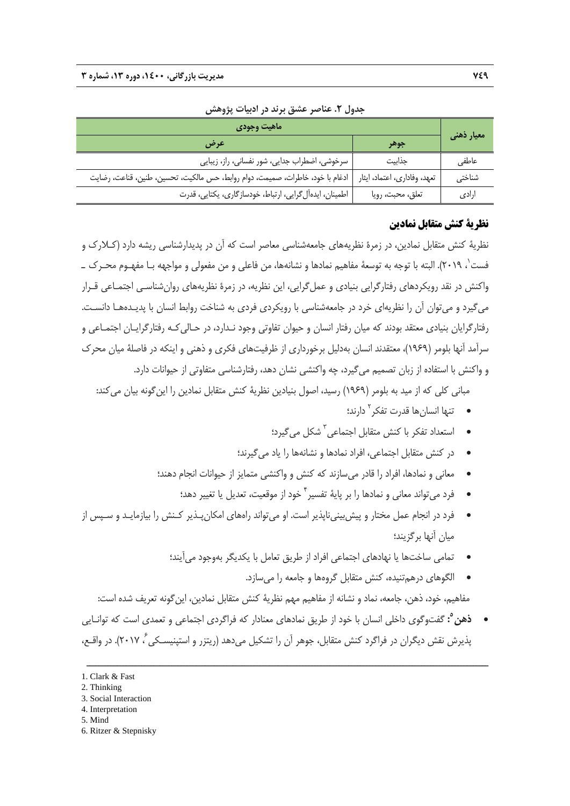| اماهيت وجودي                                                                  |                              |            |  |
|-------------------------------------------------------------------------------|------------------------------|------------|--|
|                                                                               | جوهر                         | معیار ذهنی |  |
| سرخوشی، اضطراب جدایی، شور نفسانی، راز، زیبایی                                 | جذابيت                       | عاطفي      |  |
| ادغام با خود، خاطرات، صميمت، دوام روابط، حس مالكيت، تحسين، طنين، قناعت، رضايت | تعهد، وفاداري، اعتماد، ايثار | شناختی     |  |
| اطمینان، ایدهآل گرایی، ارتباط، خودسازگاری، یکتایی، قدرت                       | تعلق، محبت، رويا             | ارادى      |  |

**جدول .2 عناصر عشق برند در ادبيات پژوهش** 

### **نظرية كنش متقابل نمادين**

نظرية كنش متقابل نمادين، در زمرة نظريههاي جامعهشناسي معاصر است كه آن در پديدارشناسي ريشه دارد (كـلارك و ، 2019). البته با توجه به توسعة مفاهيم نمادها و نشانهها، من فاعلي و من مفعولي و مواجهه بـا مفهـوم محـرك ـ <sup>1</sup> فست واكنش در نقد رويكردهاي رفتارگرايي بنيادي و عملگرايي، اين نظريه، در زمرة نظريههاي روانشناسـي اجتمـاعي قـرار ميگيرد و ميتوان آن را نظريهاي خرد در جامعهشناسي با رويكردي فردي به شناخت روابط انسان با پديـدههـا دانسـت. رفتارگرايان بنيادي معتقد بودند كه ميان رفتار انسان و حيوان تفاوتي وجود نـدارد، در حـاليكـه رفتارگرايـان اجتمـاعي و سرآمد آنها بلومر (1969)، معتقدند انسان بهدليل برخورداري از ظرفيتهاي فكري و ذهني و اينكه در فاصلة ميان محرك و واكنش با استفاده از زبان تصميم ميگيرد، چه واكنشي نشان دهد، رفتارشناسي متفاوتي از حيوانات دارد.

مباني كلي كه از ميد به بلومر (1969) رسيد، اصول بنيادين نظرية كنش متقابل نمادين را اينگونه بيان ميكند:

- دارند؛ <sup>2</sup> تنها انسانها قدرت تفكر
- شكل ميگيرد؛ 3 استعداد تفكر با كنش متقابل اجتماعي<sup>۳</sup> ميگرد؛
- در كنش متقابل اجتماعي، افراد نمادها و نشانهها را ياد ميگيرند؛
- معاني و نمادها، افراد را قادر ميسازند كه كنش و واكنشي متمايز از حيوانات انجام دهند؛
	- فرد مي تواند معاني و نمادها را بر پايهٔ تفسير <sup>٢</sup> خود از موقعيت، تعديل يا تغيير دهد؛
- فرد در انجام عمل مختار و پيشبينيناپذير است. او ميتواند راههاي امكانپـذير كـنش را بيازمايـد و سـپس از ميان آنها برگزيند؛
	- تمامي ساختها يا نهادهاي اجتماعي افراد از طريق تعامل با يكديگر بهوجود ميآيند؛
	- الگوهاى درهمتنيده، كنش متقابل گروهها و جامعه را مىسازد. مفاهيم، خود، ذهن، جامعه، نماد و نشانه از مفاهيم مهم نظرية كنش متقابل نمادين، اينگونه تعريف شده است:
- **:** گفتوگوي داخلي انسان با خود از طريق نمادهاي معنادار كه فراگردي اجتماعي و تعمدي است كه توانـايي **<sup>5</sup> ذهن** پذيرش نقش ديگران در فراگرد كنش متقابل، جوهر آن را تشكيل مي دهد (ريتزر و استينيسـكي ، ٢٠١٧). در واقـع،

<sup>1.</sup> Clark & Fast

<sup>2.</sup> Thinking

<sup>3.</sup> Social Interaction

<sup>4.</sup> Interpretation

<sup>5.</sup> Mind

<sup>6.</sup> Ritzer & Stepnisky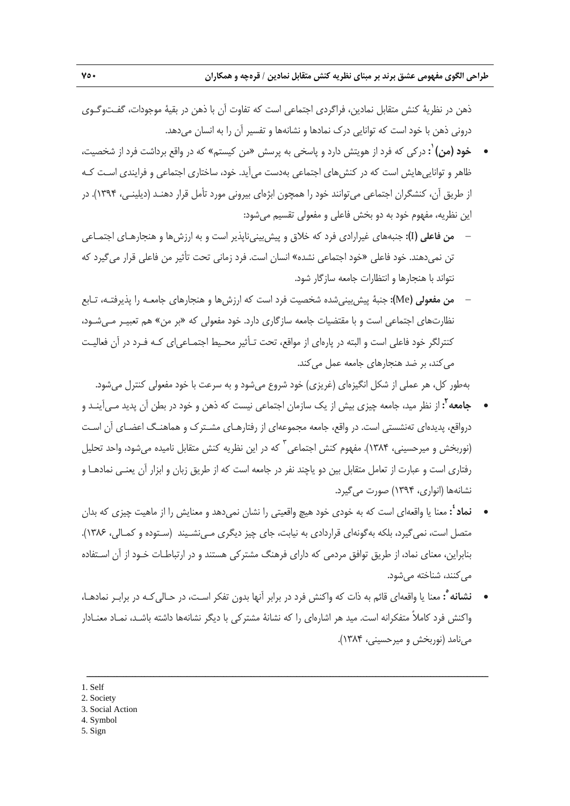ذهن در نظرية كنش متقابل نمادين، فراگردي اجتماعي است كه تفاوت آن با ذهن در بقية موجودات، گفـتوگـوي دروني ذهن با خود است كه توانايي درك نمادها و نشانهها و تفسير آن را به انسان ميدهد.

- **:** دركي كه فرد از هويتش دارد و پاسخي به پرسش «من كيستم» كه در واقع برداشت فرد از شخصيت، **<sup>١</sup> خود (من)** ظاهر و تواناييهايش است كه در كنشهاي اجتماعي بهدست ميآيد. خود، ساختاري اجتماعي و فرايندي اسـت كـه از طريق آن، كنشگران اجتماعي ميتوانند خود را همچون ابژهاي بيروني مورد تأمل قرار دهنـد (ديلينـي، 1394). در اين نظريه، مفهوم خود به دو بخش فاعلي و مفعولي تقسيم ميشود:
- **من فاعلي (**I**(:** جنبههاي غيرارادي فرد كه خلاق و پيشبينيناپذير است و به ارزشها و هنجارهـاي اجتمـاعي تن نميدهند. خود فاعلي «خود اجتماعي نشده» انسان است. فرد زماني تحت تأثير من فاعلي قرار ميگيرد كه نتواند با هنجارها و انتظارات جامعه سازگار شود.
- **من مفعولي (**Me**(:** جنبة پيشبينيشده شخصيت فرد است كه ارزشها و هنجارهاي جامعـه را پذيرفتـه، تـابع نظارتهاي اجتماعي است و با مقتضيات جامعه سازگاري دارد. خود مفعولي كه «بر من» هم تعبيـر مـيشـود، كنترلگر خود فاعلي است و البته در پارهاي از مواقع، تحت تـأثير محـيط اجتمـاعياي كـه فـرد در آن فعاليـت مي كند، بر ضد هنجارهاي جامعه عمل مي كند.

بهطور كل، هر عملي از شكل انگيزهاي (غريزي) خود شروع ميشود و به سرعت با خود مفعولي كنترل ميشود.

- **2 جامعه :** از نظر ميد، جامعه چيزي بيش از يك سازمان اجتماعي نيست كه ذهن و خود در بطن آن پديد مـيآينـد و درواقع، پديدهاي تهنشستي است. در واقع، جامعه مجموعهاى از رفتارهـاى مشـترك و هماهنـگ اعضـاى آن اسـت (نوربخش و ميرحسيني، ١٣٨۴). مفهوم كنش اجتماعي <sup>٣</sup> كه در اين نظريه كنش متقابل ناميده مي شود، واحد تحليل رفتاري است و عبارت از تعامل متقابل بين دو ياچند نفر در جامعه است كه از طريق زبان و ابزار آن يعنـي نمادهـا و نشانهها (انواري، 1394) صورت ميگيرد.
- **:** معنا يا واقعهاى است كه به خودى خود هيچ واقعيتى را نشان نمىدهد و معنايش را از ماهيت چيزى كه بدان **<sup>٤</sup> نماد** متصل است، نمىگيرد، بلكه بهگونهاى قراردادى به نيابت، جاى چيز ديگرى مـىنشـيند (سـتوده و كمـالي، 1386). بنابراين، معناى نماد، از طريق توافق مردمى كه داراى فرهنگ مشتركى هستند و در ارتباطـات خـود از آن اسـتفاده مى كنند، شناخته مى شود.
- **:** معنا يا واقعهاي قائم به ذات كه واكنش فرد در برابر آنها بدون تفكر اسـت، در حـاليكـه در برابـر نمادهـا، **<sup>٥</sup> نشانه** واكنش فرد كاملاً متفكرانه است. ميد هر اشارهاي را كه نشانة مشتركي با ديگر نشانهها داشته باشـد، نمـاد معنـادار مينامد (نوربخش و ميرحسيني، 1384).

- 3. Social Action
- 4. Symbol
- 5. Sign

<sup>1.</sup> Self

<sup>2.</sup> Society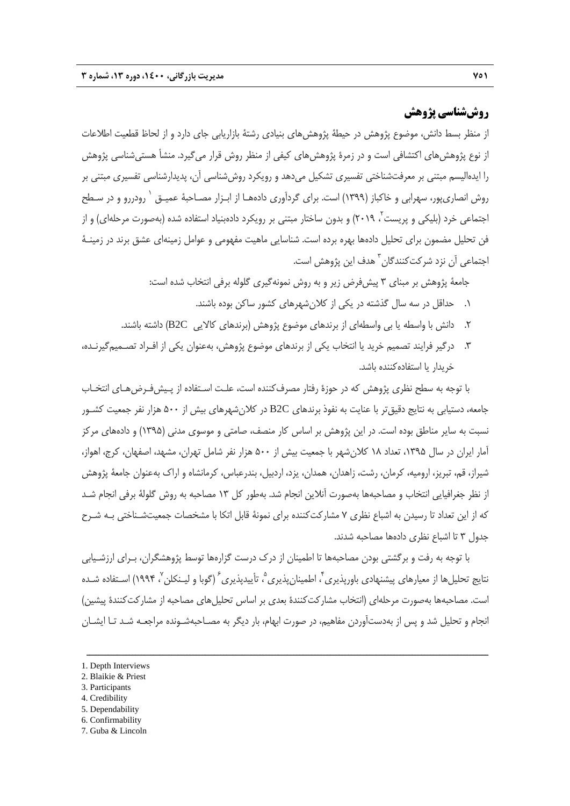## **روششناسي پژوهش**

از منظر بسط دانش، موضوع پژوهش در حيطة پژوهشهاي بنيادي رشتة بازاريابي جاي دارد و از لحاظ قطعيت اطلاعات از نوع پژوهش هاي اكتشافي است و در زمرة پژوهش هاي كيفي از منظر روش قرار مي گيرد. منشأ هستي شناسي پژوهش را ايدهاليسم مبتني بر معرفتشناختي تفسيري تشكيل ميدهد و رويكرد روششناسي آن، پديدارشناسي تفسيري مبتني بر روش انصاري يور، سهرابي و خاكباز (١٣٩٩) است. براي گردآوري دادههـا از ابـزار مصـاحبهٔ عميـق `رودررو و در سـطح اجتماعي خرد (بليكي و پريست <sup>۲</sup>، ۲۰۱۹) و بدون ساختار مبتني بر رويكرد دادهبنياد استفاده شده (بهصورت مرحلهاي) و از فن تحليل مضمون براي تحليل دادهها بهره برده است. شناسايي ماهيت مفهومي و عوامل زمينهاي عشق برند در زمينـة اجتماعي آن نزد شركت *ك*نندگان <sup>۳</sup> هدف اين پژوهش است.

جامعة پژوهش بر مبناي 3 پيشفرض زير و به روش نمونهگيري گلوله برفي انتخاب شده است:

- .1 حداقل در سه سال گذشته در يكي از كلانشهرهاي كشور ساكن بوده باشند.
- .2 دانش با واسطه يا بي واسطهاي از برندهاي موضوع پژوهش (برندهاي كالايي C2B (داشته باشند.
- .3 درگير فرايند تصميم خريد يا انتخاب يكي از برندهاي موضوع پژوهش، بهعنوان يكي از افـراد تصـميمگيرنـده، خريدار يا استفادهكننده باشد.

با توجه به سطح نظري پژوهش كه در حوزة رفتار مصرفكننده است، علـت اسـتفاده از پـيشفـرضهـاي انتخـاب جامعه، دستيابي به نتايج دقيقتر با عنايت به نفوذ برندهاي C2B در كلانشهرهاي بيش از 500 هزار نفر جمعيت كشـور نسبت به ساير مناطق بوده است. در اين پژوهش بر اساس كار منصف، صامتي و موسوي مدني (1395) و دادههاي مركز آمار ايران در سال ،1395 تعداد 18 كلانشهر با جمعيت بيش از 500 هزار نفر شامل تهران، مشهد، اصفهان، كرج، اهواز، شيراز، قم، تبريز، اروميه، كرمان، رشت، زاهدان، همدان، يزد، اردبيل، بندرعباس، كرمانشاه و اراك بهعنوان جامعة پژوهش از نظر جغرافيايي انتخاب و مصاحبهها بهصورت آنلاين انجام شد. بهطور كل 13 مصاحبه به روش گلولة برفي انجام شـد كه از اين تعداد تا رسيدن به اشباع نظري 7 مشاركتكننده براي نمونة قابل اتكا با مشخصات جمعيتشـناختي بـه شـرح جدول 3 تا اشباع نظري دادهها مصاحبه شدند.

با توجه به رفت و برگشتي بودن مصاحبهها تا اطمينان از درك درست گزارهها توسط پژوهشگران، بـراي ارزشـيابي نتايج تحليل ها از معيارهاي پيشنهادي باوريذيري <sup>۲</sup>، اطمينانپذيري <sup>2</sup>، تأييدپذيري <sup>۶</sup> (گوبا و ليـنكلن <sup>۷</sup> ۱۹۹۴) اسـتفاده شـده است. مصاحبهها بهصورت مرحلهاي (انتخاب مشاركت كنندة بعدي بر اساس تحليلهاي مصاحبه از مشاركت كنندة پيشين) انجام و تحليل شد و پس از بهدستآوردن مفاهيم، در صورت ابهام، بار ديگر به مصـاحبهشـونده مراجعـه شـد تـا ايشـان

- 2. Blaikie & Priest
- 3. Participants
- 4. Credibility
- 5. Dependability
- 6. Confirmability
- 7. Guba & Lincoln

<sup>1.</sup> Depth Interviews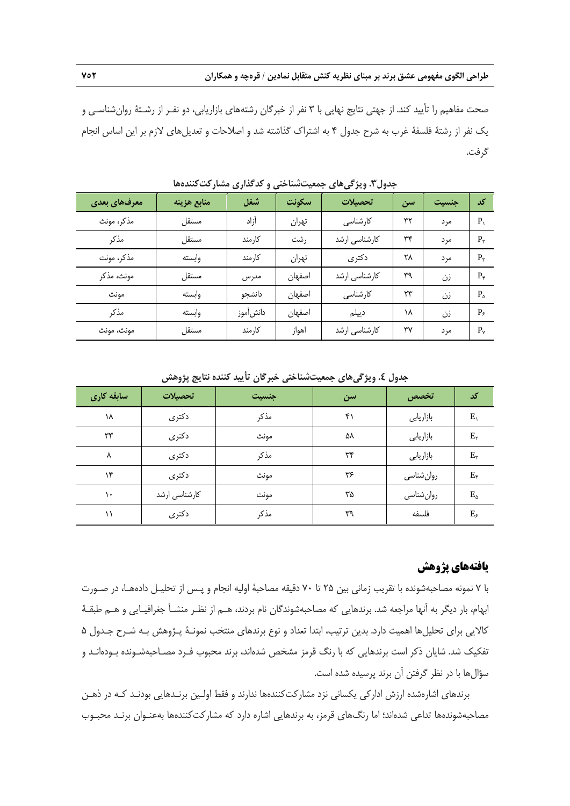صحت مفاهيم را تأييد كند. از جهتي نتايج نهايي با 3 نفر از خبرگان رشتههاي بازاريابي، دو نفـر از رشـتة روانشناسـي و يك نفر از رشتة فلسفة غرب به شرح جدول 4 به اشتراك گذاشته شد و اصلاحات و تعديلهاي لازم بر اين اساس انجام گرفت.

| معرفهای بعدی | منابع هزينه | شغل      | سكونت  | تحصىلات       | سن | جنسيت | کد             |
|--------------|-------------|----------|--------|---------------|----|-------|----------------|
| مذكر، مونث   | مستقل       | آزاد     | تهران  | کارشناسی      | ٣٢ | مرد   | P,             |
| مذكر         | مستقل       | كارمند   | رشت    | كارشناسي ارشد | ٣۴ | مر د  | $P_{\rm r}$    |
| مذكر، مونث   | وابسته      | كارمند   | تهران  | دكترى         | ۲۸ | مر د  | $P_{\tau}$     |
| مونث، مذكر   | مستقل       | مدرس     | اصفهان | كارشناسي ارشد | ٣٩ | زن    | $P_{\tau}$     |
| مونث         | وابسته      | دانشجو   | اصفهان | كارشناسى      | ۲۳ | زن    | $P_{\lambda}$  |
| مذكر         | وابسته      | دانش موز | اصفهان | ديپلم         | ۱۸ | زن    | $P_{\epsilon}$ |
| مونث، مونث   | مستقل       | كارمند   | اهواز  | كارشناسى ارشد | ٣٧ | مر د  | $P_{v}$        |

**جدول.3 ويژگيهاي جمعيتشناختي و كدگذاري مشاركتكنندهها** 

| اسابقه کاری | تحصىلات       | جنسيت | سن | تخصص      | کد             |
|-------------|---------------|-------|----|-----------|----------------|
| ١٨          | دكترى         | مذكر  | ۴١ | بازاريابي | $E_{\Lambda}$  |
| ٣٣          | دكترى         | مونث  | ۵۸ | بازاريابي | $E_{\tau}$     |
| ٨           | دكترى         | مذكر  | ٣۴ | بازاريابي | $E_{\tau}$     |
| ۱۴          | دكترى         | مونث  | ۳۶ | روانشناسي | $E_{\tau}$     |
| ۱۰          | کارشناسی ارشد | مونث  | ۳۵ | روانشناسي | $E_{\Delta}$   |
| ۱۱          | دكترى         | مذكر  | ٣٩ | فلسفه     | $E_{\epsilon}$ |

**جدول .4 ويژگيهاي جمعيتشناختي خبرگان تأييد كننده نتايج پژوهش** 

# **يافتههاي پژوهش**

با 7 نمونه مصاحبهشونده با تقريب زماني بين 25 تا 70 دقيقه مصاحبة اوليه انجام و پـس از تحليـل دادههـا، در صـورت ابهام، بار ديگر به آنها مراجعه شد. برندهايي كه مصاحبهشوندگان نام بردند، هـم از نظـر منشـأ جغرافيـايي و هـم طبقـة كالايي براي تحليلها اهميت دارد. بدين ترتيب، ابتدا تعداد و نوع برندهاي منتخب نمونـة پـژوهش بـه شـرح جـدول 5 تفكيك شد. شايان ذكر است برندهايي كه با رنگ قرمز مشخص شدهاند، برند محبوب فـرد مصـاحبهشـونده بـودهانـد و سؤالها با در نظر گرفتن آن برند پرسيده شده است.

برندهاي اشارهشده ارزش اداركي يكساني نزد مشاركتكنندهها ندارند و فقط اولـين برنـدهايي بودنـد كـه در ذهـن مصاحبهشوندهها تداعي شدهاند؛ اما رنگهاي قرمز، به برندهايي اشاره دارد كه مشاركتكنندهها بهعنـوان برنـد محبـوب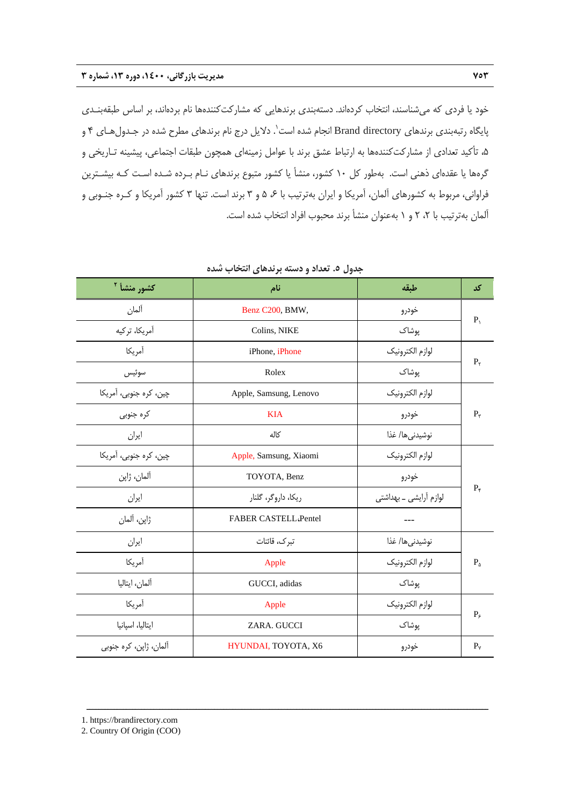خود يا فردي كه ميشناسند، انتخاب كردهاند. دستهبندي برندهايي كه مشاركتكنندهها نام بردهاند، بر اساس طبقهبنـدي 1 پايگاه رتبهبندي برندهاي directory Brand انجام شده است . دلايل درج نام برندهاي مطرح شده در جـدولهـاي 4 و ،5 تأكيد تعدادي از مشاركتكنندهها به ارتباط عشق برند با عوامل زمينهاي همچون طبقات اجتماعي، پيشينه تـاريخي و گرهها يا عقدهاي ذهني است. بهطور كل 10 كشور، منشأ يا كشور متبوع برندهاي نـام بـرده شـده اسـت كـه بيشـترين فراواني، مربوط به كشورهاي آلمان، آمريكا و ايران بهترتيب با ۶ ۵ و ۳ برند است. تنها ۳ كشور آمريكا و كـره جنـوبي و آلمان بهترتيب با ٢، ٢ و ١ بهعنوان منشأ برند محبوب افراد انتخاب شده است.

| كشور منشأ <sup>٢</sup> | نام                         | طبقه                   | کد                |
|------------------------|-----------------------------|------------------------|-------------------|
| آلمان                  | Benz C200, BMW,             | خودرو                  | $P_{\lambda}$     |
| آمريكا، تركيه          | Colins, NIKE                | یوشاک                  |                   |
| أمريكا                 | iPhone, iPhone              | لوازم الكترونيك        |                   |
| سوئيس                  | Rolex                       | یوشاک                  | $P_{\tau}$        |
| چین، کره جنوبی، آمریکا | Apple, Samsung, Lenovo      | لوازم الكترونيك        |                   |
| كره جنوبى              | <b>KIA</b>                  | خودرو                  | $P_{\tau}$        |
| ايران                  | كاله                        | نوشيدنىها/ غذا         |                   |
| چین، کره جنوبی، آمریکا | Apple, Samsung, Xiaomi      | لوازم الكترونيك        |                   |
| آلمان، ژاپن            | TOYOTA, Benz                | خودرو                  |                   |
| ايران                  | ریکا، داروگر، گلنار         | لوازم أرايشي _ بهداشتي | $P_{\varepsilon}$ |
| ژاپن، آلمان            | <b>FABER CASTELL Pentel</b> | ---                    |                   |
| ايران                  | تبرك، قائنات                | نوشيدنىها/ غذا         |                   |
| أمريكا                 | Apple                       | لوازم الكترونيك        | $P_{\Delta}$      |
| آلمان، ايتاليا         | GUCCI, adidas               | پوشاک                  |                   |
| أمريكا                 | Apple                       | لوازم الكترونيك        |                   |
| ايتاليا، اسپانيا       | ZARA. GUCCI                 | پوشاک                  | $P_{\xi}$         |
| آلمان، ژاپن، کره جنوبی | HYUNDAI, TOYOTA, X6         | خودرو                  | $P_v$             |

ــــــــــــــــــــــــــــــــــــــــــــــــــــــــــــــــــــــــــــــــــــــــــــــــــــــــــــــــــــــــــــــــــــ

**جدول .5 تعداد و دسته برندهاي انتخاب شده** 

<sup>1.</sup> https://brandirectory.com

<sup>2.</sup> Country Of Origin (COO)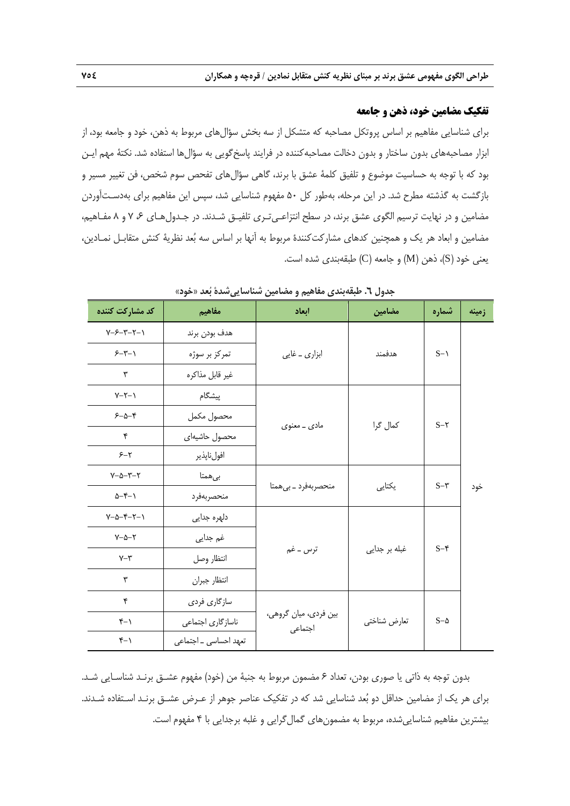### **تفكيك مضامين خود، ذهن و جامعه**

براي شناسايي مفاهيم بر اساس پروتكل مصاحبه كه متشكل از سه بخش سؤالهاي مربوط به ذهن، خود و جامعه بود، از ابزار مصاحبههاي بدون ساختار و بدون دخالت مصاحبهكننده در فرايند پاسخگويي به سؤالها استفاده شد. نكتة مهم ايـن بود كه با توجه به حساسيت موضوع و تلفيق كلمة عشق با برند، گاهي سؤالهاي تفحص سوم شخص، فن تغيير مسير و بازگشت به گذشته مطرح شد. در اين مرحله، بهطور كل 50 مفهوم شناسايي شد، سپس اين مفاهيم براي بهدسـتآوردن مضامين و در نهايت ترسيم الگوي عشق برند، در سطح انتزاعـيتـري تلفيـق شـدند. در جـدولهـاي ،6 7 و 8 مفـاهيم، مضامين و ابعاد هر يك و همچنين كدهاي مشاركتكنندة مربوط به آنها بر اساس سه بعد نظرية كنش متقابـل نمـادين، يعني خود (S)، ذهن (M) و جامعه (C) طبقهبندي شده است.

| کد مشارکت کننده                        | مفاهيم                | ابعاد                            | مضامين        | شماره      | زمينه |
|----------------------------------------|-----------------------|----------------------------------|---------------|------------|-------|
| $Y - Y - Y - Y - Y$                    | هدف بودن برند         |                                  |               |            |       |
| $5 - 5 - 1$                            | تمرکز بر سوژه         | ابزاری _ غایی                    | هدفمند        | $S-1$      |       |
| ٣                                      | غير قابل مذاكره       |                                  |               |            |       |
| $Y-Y-1$                                | پیشگام                |                                  |               |            |       |
| $5 - \Delta - 5$                       | محصول مكمل            |                                  | كمال گرا      | $S - Y$    |       |
| ۴                                      | محصول حاشيهاى         | مادی _ معنوی                     |               |            |       |
| $5 - 7$                                | افولناپذير            |                                  |               |            |       |
| $Y - \Delta - Y - Y$                   | بىھمتا                |                                  |               | $S-\tau$   |       |
| $\Delta - \mathfrak{r} - \mathfrak{r}$ | منحصربهفرد            | منحصربهفرد _ بى همتا             | یکتایی        |            | خود   |
| $Y-\Delta-Y-Y-1$                       | دلهره جدایی           |                                  |               |            |       |
| $Y - \Delta - Y$                       | غم جدایی              |                                  |               |            |       |
| $Y - Y$                                | انتظار وصل            | ترس ــ غم                        | غبله بر جدایی | $S - F$    |       |
| ٣                                      | انتظار جبران          |                                  |               |            |       |
| ۴                                      | سازگاري فردي          |                                  |               |            |       |
| $Y - Y$                                | ناسازگاري اجتماعي     | بین فردی، میان گروهی،<br>اجتماعى | تعارض شناختي  | $S-\Delta$ |       |
| $f-1$                                  | تعهد احساسی _ اجتماعی |                                  |               |            |       |

**جدول .6 طبقهبندي مفاهيم و مضامين شناساييشدة بعد «خود»** 

بدون توجه به ذاتي يا صوري بودن، تعداد 6 مضمون مربوط به جنبة من (خود) مفهوم عشـق برنـد شناسـايي شـد. براي هر يك از مضامين حداقل دو بعد شناسايي شد كه در تفكيك عناصر جوهر از عـرض عشـق برنـد اسـتفاده شـدند. بيشترين مفاهيم شناساييشده، مربوط به مضمونهاي گمالگرايي و غلبه برجدايي با 4 مفهوم است.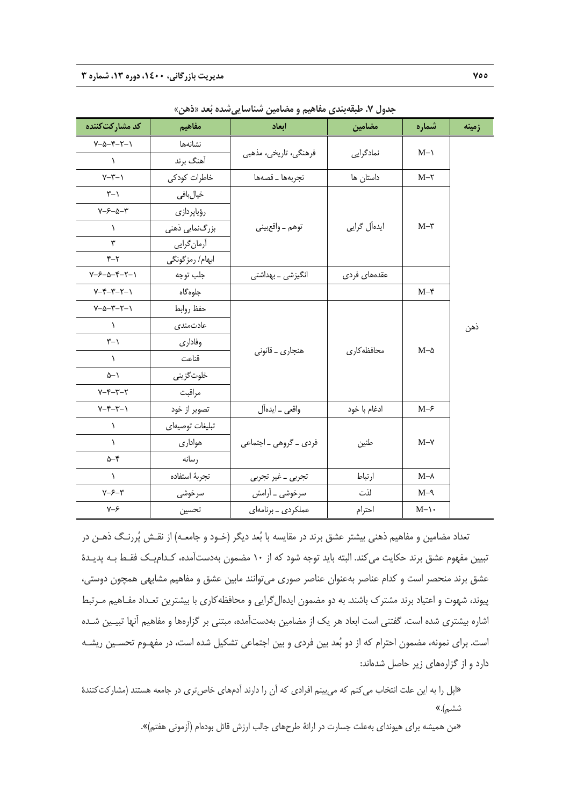| کد مشارکتکننده                                | مفاهيم          | ابعاد                  | مضامين       | شماره           | زمينه |
|-----------------------------------------------|-----------------|------------------------|--------------|-----------------|-------|
| $Y - \Delta - Y - Y - Y$                      | نشانهها         |                        |              | $M-\lambda$     |       |
| $\lambda$                                     | آهنگ برند       | فرهنگی، تاریخی، مذهبی  | نمادگرایی    |                 |       |
| $Y-T-1$                                       | خاطرات كودكى    | تجربهها _ قصهها        | داستان ها    | $M-\tau$        |       |
| $\tau$ -1                                     | خيالبافي        |                        |              |                 |       |
| $Y - 5 - \Delta - Y$                          | رؤياپردازى      |                        |              |                 |       |
| $\lambda$                                     | بزرگنمایی ذهنی  | توهم _ واقع بيني       | ايدەآل گرايى | $M-\tau$        |       |
| ٣                                             | آرمان گرایی     |                        |              |                 |       |
| $Y-Y$                                         | ابهام/ رمزگونگی |                        |              |                 |       |
| $Y - 5 - 0 - 5 - 7 - 1$                       | جلب توجه        | انگیزشی ــ بهداشتی     | عقدههای فردی |                 |       |
| $Y-F-Y-Y-1$                                   | جلوهگاه         |                        |              | $M-\mathcal{F}$ |       |
| $Y - \Delta - \Upsilon - \Upsilon - \Upsilon$ | حفظ روابط       |                        |              |                 |       |
| $\lambda$                                     | عادتمندى        |                        |              |                 | ذهن   |
| $\uparrow - \uparrow$                         | وفاداري         | هنجاري _ قانوني        | محافظه کار ی | $M-\Delta$      |       |
| $\lambda$                                     | قناعت           |                        |              |                 |       |
| $\Delta - 1$                                  | خلوتگزینی       |                        |              |                 |       |
| $Y - Y - Y - Y$                               | مراقبت          |                        |              |                 |       |
| $Y-F-Y-1$                                     | تصوير از خود    | واقعى _ ايدهأل         | ادغام با خود | $M-\epsilon$    |       |
| $\lambda$                                     | تبليغات توصيهاى |                        |              |                 |       |
| $\lambda$                                     | هوادارى         | فردی _ گروهی _ اجتماعی | طنين         | $M-\gamma$      |       |
| $\Delta - \mathfrak{r}$                       | رسانه           |                        |              |                 |       |
| $\lambda$                                     | تجربة استفاده   | تجربي _ غير تجربي      | ارتباط       | $M-\lambda$     |       |
| $Y - 5 - 7$                                   | سرخوشى          | سرخوشی _ آرامش         | لذت          | $M-\gamma$      |       |
| $Y - 5$                                       | تحسين           | عملکردی _ برنامهای     | احترام       | $M-\$           |       |
|                                               |                 |                        |              |                 |       |

**جدول .7 طبقهبندي مفاهيم و مضامين شناساييشده بعد «ذهن»**

تعداد مضامين و مفاهيم ذهني بيشتر عشق برند در مقايسه با بعد ديگر (خـود و جامعـه) از نقـش پررنـگ ذهـن در تبيين مفهوم عشق برند حكايت ميكند. البته بايد توجه شود كه از 10 مضمون بهدستآمده، كـداميـك فقـط بـه پديـدة عشق برند منحصر است و كدام عناصر بهعنوان عناصر صوري ميتوانند مابين عشق و مفاهيم مشابهي همچون دوستي، پيوند، شهوت و اعتياد برند مشترك باشند. به دو مضمون ايدهالگرايي و محافظهكاري با بيشترين تعـداد مفـاهيم مـرتبط اشاره بيشتري شده است. گفتني است ابعاد هر يك از مضامين بهدستآمده، مبتني بر گزارهها و مفاهيم آنها تبيـين شـده است. براي نمونه، مضمون احترام كه از دو بعد بين فردي و بين اجتماعي تشكيل شده است، در مفهـوم تحسـين ريشـه دارد و از گزارههاي زير حاصل شدهاند:

«اپل را به اين علت انتخاب مي كنم كه مي بينم افرادي كه آن را دارند آدمهاي خاص ترى در جامعه هستند (مشاركتكنندهٔ ششم).»

«من هميشه براي هيونداي بهعلت جسارت در ارائة طرحهاي جالب ارزش قائل بودهام (آزموني هفتم)».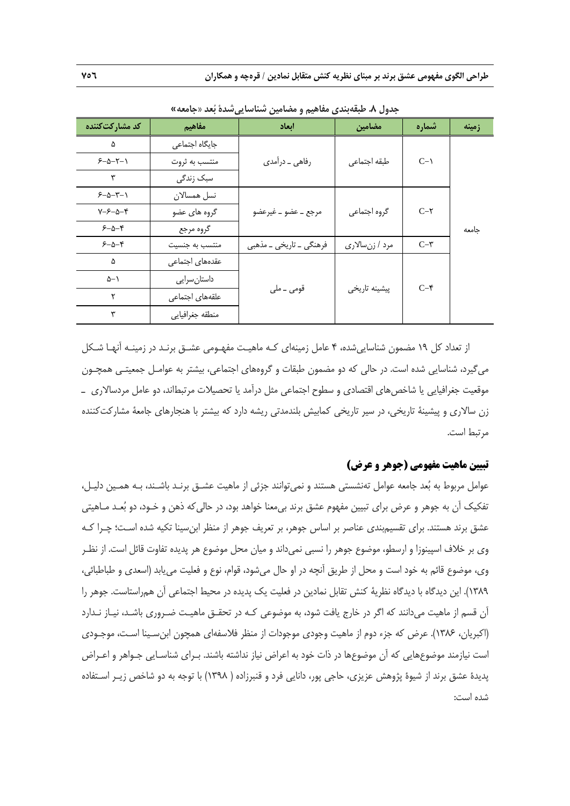**طراحي الگوي مفهومي عشق برند بر مبناي نظريه كنش متقابل نمادين / قرهچه و همكاران 756** 

| کد مشارکتکننده       | مفاهيم          | ابعاد                   | مضامين         | شماره           | زمينه |
|----------------------|-----------------|-------------------------|----------------|-----------------|-------|
| ۵                    | جایگاه اجتماعی  |                         |                |                 |       |
| $5 - 2 - 7 - 1$      | منتسب به ثروت   | رفاهي _ درآمدي          | طبقه اجتماعي   | $C-\lambda$     |       |
| ٣                    | سبک زندگی       |                         |                |                 |       |
| $5 - \Delta - 7 - 1$ | نسل همسالان     |                         |                |                 |       |
| $Y - 5 - \Delta - 5$ | گروه های عضو    | مرجع _ عضو _ غيرعضو     | گروه اجتماعي   | $C-\tau$        |       |
| $5 - \Delta - 5$     | گروه مرجع       |                         |                |                 | جامعه |
| $5 - \Delta - 5$     | منتسب به جنسیت  | فرهنگی _ تاريخي _ مذهبي | مرد / زنسالاري | $C-\tau$        |       |
| ۵                    | عقدههای اجتماعی |                         |                |                 |       |
| ۵–۱                  | داستان سرايي    |                         |                | $C-\mathcal{F}$ |       |
| ٢                    | علقههای اجتماعی | قومى ــ ملى             | پیشینه تاریخی  |                 |       |
| ٣                    | منطقه جغرافيايي |                         |                |                 |       |

**جدول .8 طبقهبندي مفاهيم و مضامين شناساييشدة بعد «جامعه»**

از تعداد كل 19 مضمون شناساييشده، 4 عامل زمينهاي كـه ماهيـت مفهـومي عشـق برنـد در زمينـه آنهـا شـكل ميگيرد، شناسايي شده است. در حالي كه دو مضمون طبقات و گروههاي اجتماعي، بيشتر به عوامـل جمعيتـي همچـون موقعيت جغرافيايي يا شاخصهاي اقتصادي و سطوح اجتماعي مثل درآمد يا تحصيلات مرتبطاند، دو عامل مردسالاري ـ زن سالاري و پيشينة تاريخي، در سير تاريخي كمابيش بلندمدتي ريشه دارد كه بيشتر با هنجارهاي جامعة مشاركتكننده مرتبط است.

### **تبيين ماهيت مفهومي (جوهر و عرض)**

عوامل مربوط به بعد جامعه عوامل تهنشستي هستند و نميتوانند جزئي از ماهيت عشـق برنـد باشـند، بـه همـين دليـل، تفكيك آن به جوهر و عرض براي تبيين مفهوم عشق برند بيمعنا خواهد بود، در حاليكه ذهن و خـود، دو بعـد مـاهيتي عشق برند هستند. براي تقسيمبندي عناصر بر اساس جوهر، بر تعريف جوهر از منظر ابنسينا تكيه شده اسـت؛ چـرا كـه وي بر خلاف اسپينوزا و ارسطو، موضوع جوهر را نسبي نميداند و ميان محل موضوع هر پديده تفاوت قائل است. از نظـر وي، موضوع قائم به خود است و محل از طريق آنچه در او حال ميشود، قوام، نوع و فعليت مييابد (اسعدي و طباطبائي، 1389). اين ديدگاه با ديدگاه نظرية كنش تقابل نمادين در فعليت يك پديده در محيط اجتماعي آن همراستاست. جوهر را آن قسم از ماهيت ميدانند كه اگر در خارج يافت شود، به موضوعي كـه در تحقـق ماهيـت ضـروري باشـد، نيـاز نـدارد (اكبريان، 1386). عرض كه جزء دوم از ماهيت وجودي موجودات از منظر فلاسفهاي همچون ابنسـينا اسـت، موجـودي است نيازمند موضوعهايي كه آن موضوعها در ذات خود به اعراض نياز نداشته باشند. بـراي شناسـايي جـواهر و اعـراض پديدة عشق برند از شيوة پژوهش عزيزي، حاجي پور، دانايي فرد و قنبرزاده ( 1398) با توجه به دو شاخص زيـر اسـتفاده شده است: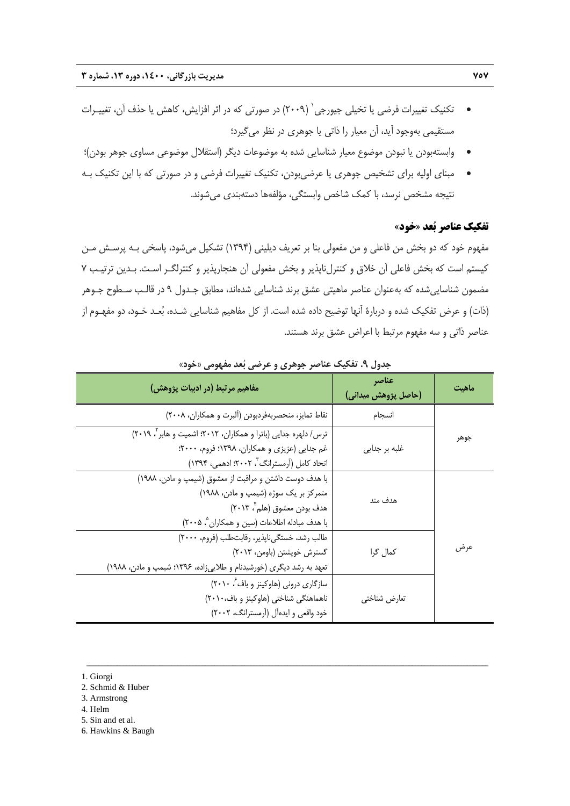- و حكنيك تغييرات فرضي يا تخيلي جيورجي  $(7\cdot\cdot\gamma)$  در صورتي كه در اثر افزايش، كاهش يا حذف آن، تغييـرات  $\bullet$ مستقيمي بهوجود آيد، آن معيار را ذاتي يا جوهري در نظر ميگيرد؛
- وابستهبودن يا نبودن موضوع معيار شناسايي شده به موضوعات ديگر (استقلال موضوعي مساوي جوهر بودن)؛
- مبناي اوليه براي تشخيص جوهري يا عرضيبودن، تكنيك تغييرات فرضي و در صورتي كه با اين تكنيك بـه نتيجه مشخص نرسد، با كمك شاخص وابستگي، مؤلفهها دستهبندي ميشوند.

### **تفكيك عناصر بعد «خود»**

مفهوم خود كه دو بخش من فاعلي و من مفعولي بنا بر تعريف ديليني (1394) تشكيل ميشود، پاسخي بـه پرسـش مـن كيستم است كه بخش فاعلي آن خلاق و كنترلناپذير و بخش مفعولي آن هنجارپذير و كنترلگـر اسـت. بـدين ترتيـب 7 مضمون شناساييشده كه بهعنوان عناصر ماهيتي عشق برند شناسايي شدهاند، مطابق جـدول 9 در قالـب سـطوح جـوهر (ذات) و عرض تفكيك شده و دربارة آنها توضيح داده شده است. از كل مفاهيم شناسايي شـده، بعـد خـود، دو مفهـوم از عناصر ذاتي و سه مفهوم مرتبط با اعراض عشق برند هستند.

| مفاهيم مرتبط (در ادبيات پژوهش)                                                                                                                                                    | عناصر<br>(حاصل پژوهش میدانی) | ماهت |
|-----------------------------------------------------------------------------------------------------------------------------------------------------------------------------------|------------------------------|------|
| نقاط تمايز، منحصربهفردبودن (ألبرت و همكاران، ٢٠٠٨)                                                                                                                                | انسجام                       |      |
| ترس/ دلهره جدایی (باترا و همکاران، ۲۰۱۲؛ اشمیت و هابر ۲۰۱۹)<br>غم جدایی (عزیزی و همکاران، ۱۳۹۸؛ فروم، ۲۰۰۰؛<br>اتحاد کامل (آرمسترانگ"، ۲۰۰۲؛ ادهمی، ۱۳۹۴)                         | غلبه بر جدایی                | جوهر |
| با هدف دوست داشتن و مراقبت از معشوق (شیمپ و مادن، ١٩٨٨)<br>متمرکز بر یک سوژه (شیمپ و مادن، ۱۹۸۸)<br>هدف بودن معشوق (هلم ٌ، ۲۰۱۳)<br>با هدف مبادله اطلاعات (سين و همكاران °، ٢٠٠۵) | هدف مند                      |      |
| طالب رشد، خستگی ناپذیر، رقابتطلب (فروم، ٢٠٠٠)<br>  گسترش خویشتن (باومن، ۲۰۱۳)<br>تعهد به رشد دیگری (خورشیدنام و طلاییزاده، ۱۳۹۶؛ شیمپ و مادن، ۱۹۸۸)                               | كمال گرا                     | عرض  |
| سازگاری درونی (هاوکینز و باف ٔ، ۲۰۱۰)<br>ناهماهنگی شناختی (هاوکینز و باف،۲۰۱۰)<br>خود واقعی و ایدهآل (آرمسترانگ، ۲۰۰۲)                                                            | تعارض شناختي                 |      |

ــــــــــــــــــــــــــــــــــــــــــــــــــــــــــــــــــــــــــــــــــــــــــــــــــــــــــــــــــــــــــــــــــــ

**جدول .9 تفكيك عناصر جوهري و عرضي بعد مفهومي «خود»** 

1. Giorgi

- 2. Schmid & Huber
- 3. Armstrong
- 4. Helm
- 5. Sin and et al.
- 6. Hawkins & Baugh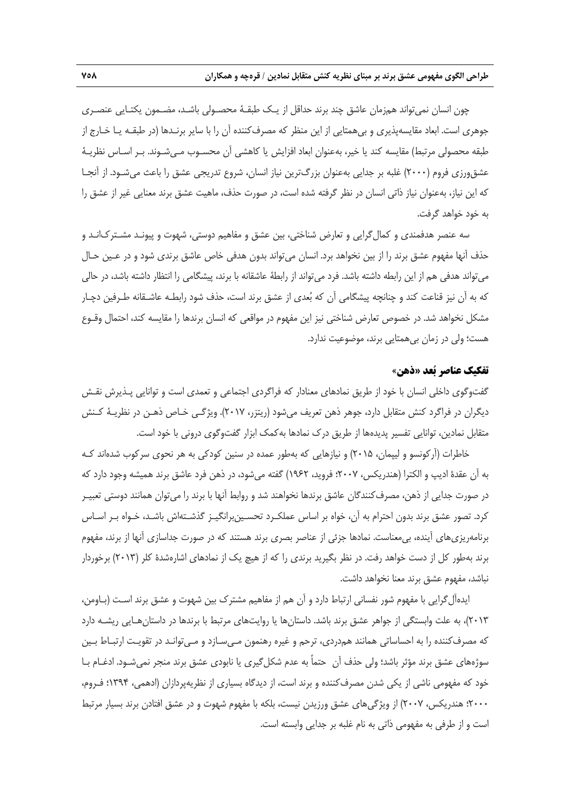چون انسان نميتواند همزمان عاشق چند برند حداقل از يـك طبقـة محصـولي باشـد، مضـمون يكتـايي عنصـري جوهري است. ابعاد مقايسهپذيري و بيهمتايي از اين منظر كه مصرفكننده آن را با ساير برنـدها (در طبقـه يـا خـارج از طبقه محصولي مرتبط) مقايسه كند يا خير، بهعنوان ابعاد افزايش يا كاهشي آن محسـوب مـيشـوند. بـر اسـاس نظريـة عشقورزي فروم (2000) غلبه بر جدايي بهعنوان بزرگترين نياز انسان، شروع تدريجي عشق را باعث ميشـود. از آنجـا كه اين نياز، بهعنوان نياز ذاتي انسان در نظر گرفته شده است، در صورت حذف، ماهيت عشق برند معنايي غير از عشق را به خود خواهد گرفت.

سه عنصر هدفمندي و كمالگرايي و تعارض شناختي، بين عشق و مفاهيم دوستي، شهوت و پيونـد مشـتركانـد و حذف آنها مفهوم عشق برند را از بين نخواهد برد. انسان ميتواند بدون هدفي خاص عاشق برندي شود و در عـين حـال ميتواند هدفي هم از اين رابطه داشته باشد. فرد ميتواند از رابطة عاشقانه با برند، پيشگامي را انتظار داشته باشد، در حالي كه به آن نيز قناعت كند و چنانچه پيشگامي آن كه بعدي از عشق برند است، حذف شود رابطـه عاشـقانه طـرفين دچـار مشكل نخواهد شد. در خصوص تعارض شناختي نيز اين مفهوم در مواقعي كه انسان برندها را مقايسه كند، احتمال وقـوع هست؛ ولي در زمان بيهمتايي برند، موضوعيت ندارد.

### **تفكيك عناصر بعد «ذهن»**

گفتوگوي داخلي انسان با خود از طريق نمادهاي معنادار كه فراگردي اجتماعي و تعمدي است و توانايي پـذيرش نقـش ديگران در فراگرد كنش متقابل دارد، جوهر ذهن تعريف ميشود (ريتزر، 2017). ويژگـي خـاص ذهـن در نظريـة كـنش متقابل نمادين، توانايي تفسير پديدهها از طريق درك نمادها بهكمك ابزار گفتوگوي دروني با خود است.

خاطرات (آركونسو و ليپمان، 2015) و نيازهايي كه بهطور عمده در سنين كودكي به هر نحوي سركوب شدهاند كـه به آن عقدة اديپ و الكترا (هندريكس، 2007؛ فرويد، 1962) گفته ميشود، در ذهن فرد عاشق برند هميشه وجود دارد كه در صورت جدايي از ذهن، مصرفكنندگان عاشق برندها نخواهند شد و روابط آنها با برند را ميتوان همانند دوستي تعبيـر كرد. تصور عشق برند بدون احترام به آن، خواه بر اساس عملكـرد تحسـينبرانگيـز گذشـتهاش باشـد، خـواه بـر اسـاس برنامهريزيهاي آينده، بيمعناست. نمادها جزئي از عناصر بصري برند هستند كه در صورت جداسازي آنها از برند، مفهوم برند بهطور كل از دست خواهد رفت. در نظر بگيريد برندي را كه از هيچ يك از نمادهاي اشارهشدة كلر (2013) برخوردار نباشد، مفهوم عشق برند معنا نخواهد داشت.

ايدهآلگرايي با مفهوم شور نفساني ارتباط دارد و آن هم از مفاهيم مشترك بين شهوت و عشق برند اسـت (بـاومن، 2013)، به علت وابستگي از جواهر عشق برند باشد. داستانها يا روايتهاي مرتبط با برندها در داستانهـايي ريشـه دارد كه مصرفكننده را به احساساتي همانند همدردي، ترحم و غيره رهنمون مـيسـازد و مـيتوانـد در تقويـت ارتبـاط بـين سوژههاي عشق برند مؤثر باشد؛ ولي حذف آن حتماً به عدم شكلگيري يا نابودي عشق برند منجر نميشـود. ادغـام بـا خود كه مفهومي ناشي از يكي شدن مصرفكننده و برند است، از ديدگاه بسياري از نظريهپردازان (ادهمي، 1394؛ فـروم، 2000؛ هندريكس، 2007) از ويژگيهاي عشق ورزيدن نيست، بلكه با مفهوم شهوت و در عشق افتادن برند بسيار مرتبط است و از طرفي به مفهومي ذاتي به نام غلبه بر جدايي وابسته است.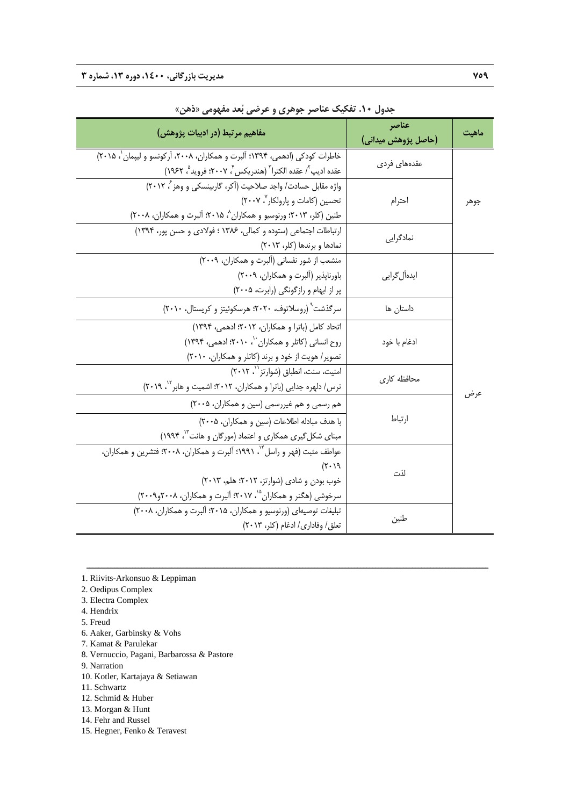| مفاهيم مرتبط (در ادبيات پژوهش)                                                                                                                                                                                     | عناصر<br>(حاصل پژوهش میدانی) | ماهيت |
|--------------------------------------------------------------------------------------------------------------------------------------------------------------------------------------------------------------------|------------------------------|-------|
| خاطرات كودكي (ادهمي، ١٣٩۴؛ ألبرت و همكاران، ٢٠٠٨، أركونسو و ليپمان `، ٢٠١۵)<br>عقده اديپ"/ عقده الكترا" (هندريكس"، ٢٠٠٧؛ فرويد"، ١٩۶٢)                                                                             | عقدههای فردی                 |       |
| واژه مقابل حسادت/ واجد صلاحیت (آکر، گاربینسکی و وهز ً، ۲۰۱۲)<br>تحسین (کامات و پارولکار ۲۰۰۷)<br>طنین (کلر، ۲۰۱۳؛ ورنوسیو و همکاران^، ۲۰۱۵؛ آلبرت و همکاران، ۲۰۰۸)                                                 | احترام                       | جوهر  |
| ارتباطات اجتماعی (ستوده و کمالی، ۱۳۸۶ ؛ فولادی و حسن پور، ۱۳۹۴)<br>نمادها وبرندها (كلر، ٢٠١٣)                                                                                                                      | نمادگرایے                    |       |
| منشعب از شور نفسانی (آلبرت و همکاران، ٢٠٠٩)<br>باورناپذیر (آلبرت و همکاران، ۲۰۰۹)<br>پر از ابهام و رازگونگی (رابرت، ۲۰۰۵)                                                                                          | ايدەآل گرايى                 |       |
| سرگذشت (روسلاتوف، ۲۰۲۰؛ هرسکوئیتز و کریستال، ۲۰۱۰)                                                                                                                                                                 | داستان ها                    |       |
| اتحاد كامل (باترا و همكاران، ٢٠١٢؛ ادهمي، ١٣٩۴)<br>روح انسانی (کاتلر و همکاران ``، ٢٠١٠؛ ادهمی، ١٣٩۴)<br>تصویر/ هویت از خود و برند (کاتلر و همکاران، ٢٠١٠)                                                         | ادغام با خود                 |       |
| امنیت، سنت، انطباق (شوارتز ``، ٢٠١٢)<br>ترس/ دلهره جدایی (باترا و همکاران، ۲۰۱۲؛ اشمیت و هابر <sup>۱۲</sup> ، ۲۰۱۹)                                                                                                | محافظه كارى                  |       |
| هم رسمی و هم غیررسمی (سین و همکاران، ۲۰۰۵)<br>با هدف مبادله اطلاعات (سين و همكاران، ٢٠٠۵)<br>مبنای شکل گیری همکاری و اعتماد (مورگان و هانت <sup>۱۳</sup> ، ۱۹۹۴)                                                   | ارتباط                       | عرض   |
| عواطف مثبت (فهر و راسل "، ۱۹۹۱؛ ألبرت و همکاران، ۲۰۰۸؛ فتشرین و همکاران،<br>$(1 \cdot 7)$<br>خوب بودن و شادي (شوارتز، ٢٠١٢؛ هلم، ٢٠١٣)<br>سرخوشی (هگنر و همکاران <sup>۱۵</sup> ، ۲۰۱۷؛ آلبرت و همکاران، ۲۰۰۸و۲۰۰۹) | لذت                          |       |
| تبلیغات توصیهای (ورنوسیو و همکاران، ۲۰۱۵؛ آلبرت و همکاران، ۲۰۰۸)<br>تعلق/ وفاداري/ ادغام (كلر، ٢٠١٣)                                                                                                               | طنين                         |       |

ــــــــــــــــــــــــــــــــــــــــــــــــــــــــــــــــــــــــــــــــــــــــــــــــــــــــــــــــــــــــــــــــــــ

**جدول .10 تفكيك عناصر جوهري و عرضي بعد مفهومي «ذهن»** 

- 2. Oedipus Complex
- 3. Electra Complex
- 4. Hendrix
- 5. Freud
- 6. Aaker, Garbinsky & Vohs
- 7. Kamat & Parulekar
- 8. Vernuccio, Pagani, Barbarossa & Pastore
- 9. Narration
- 10. Kotler, Kartajaya & Setiawan
- 11. Schwartz
- 12. Schmid & Huber
- 13. Morgan & Hunt
- 14. Fehr and Russel
- 15. Hegner, Fenko & Teravest

<sup>1.</sup> Riivits-Arkonsuo & Leppiman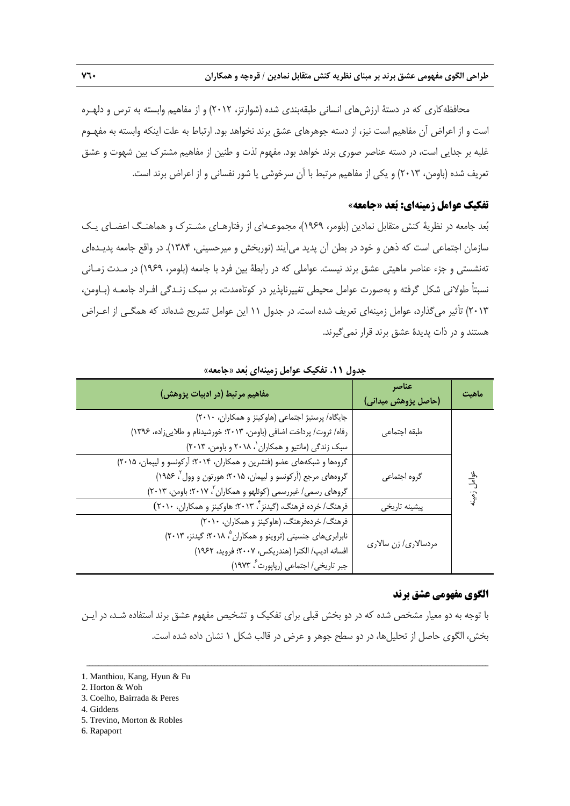محافظهكاري كه در دستة ارزشهاي انساني طبقهبندي شده (شوارتز، 2012) و از مفاهيم وابسته به ترس و دلهـره است و از اعراض آن مفاهيم است نيز، از دسته جوهرهاي عشق برند نخواهد بود. ارتباط به علت اينكه وابسته به مفهـوم غلبه بر جدايي است، در دسته عناصر صوري برند خواهد بود. مفهوم لذت و طنين از مفاهيم مشترك بين شهوت و عشق تعريف شده (باومن، 2013) و يكي از مفاهيم مرتبط با آن سرخوشي يا شور نفساني و از اعراض برند است.

## **تفكيك عوامل زمينهاي: بعد «جامعه»**

بعد جامعه در نظرية كنش متقابل نمادين (بلومر، 1969)، مجموعـهاي از رفتارهـاي مشـترك و هماهنـگ اعضـاي يـك سازمان اجتماعي است كه ذهن و خود در بطن آن پديد ميآيند (نوربخش و ميرحسيني، 1384). در واقع جامعه پديـدهاي تهنشستي و جزء عناصر ماهيتي عشق برند نيست. عواملي كه در رابطة بين فرد با جامعه (بلومر، 1969) در مـدت زمـاني نسبتاً طولاني شكل گرفته و بهصورت عوامل محيطي تغييرناپذير در كوتاهمدت، بر سبك زنـدگي افـراد جامعـه (بـاومن، 2013) تأثير ميگذارد، عوامل زمينهاي تعريف شده است. در جدول 11 اين عوامل تشريح شدهاند كه همگـي از اعـراض هستند و در ذات پديدة عشق برند قرار نميگيرند.

| مفاهیم مرتبط (در ادبیات پژوهش)                                                                                                                                                                        | عناصر<br>(حاصل پژوهش میدانی) | ماهيت               |
|-------------------------------------------------------------------------------------------------------------------------------------------------------------------------------------------------------|------------------------------|---------------------|
| جایگاه/ پرستیژ اجتماعی (هاوکینز و همکاران، ۲۰۱۰)<br>رفاه/ ثروت/ پرداخت اضافي (باومن، ۲۰۱۳؛ خورشیدنام و طلاییزاده، ۱۳۹۶)<br>سبک زندگی (مانتیو و همکاران ، ۲۰۱۸ و باومن، ۲۰۱۳)                          | طبقه اجتماعي                 |                     |
| گروهها و شبکههای عضو (فتشرین و همکاران، ۲۰۱۴؛ آرکونسو و لیپمان، ۲۰۱۵)<br>گروههای مرجع (اَرکونسو و لیپمان، ۲۰۱۵؛ هورتون و وول ٔ، ۱۹۵۶)<br>گروهای رسمی/ غیررسمی (کوئلهو و همکاران ۲ ۲۰۱۷؛ باومن، ۲۰۱۳)  | گروه اجتماعي                 | عوامل<br>ا<br>زمينه |
| فرهنگ/ خرده فرهنگ، (گیدنز ٌ، ۲۰۱۳؛ هاوکینز و همکاران، ۲۰۱۰)                                                                                                                                           | پیشینه تاریخی                |                     |
| فرهنگ/ خردهفرهنگ، (هاوکینز و همکاران، ۲۰۱۰)<br>نابرابریهای جنسیتی (تروینو و همکاران °، ۲۰۱۸؛ گیدنز، ۲۰۱۳)<br>افسانه اديپ/ الكترا (هندريكس، ٢٠٠٧؛ فرويد، ١٩۶٢)<br>جبر تاریخی/ اجتماعی (رپاپورت ، ۱۹۷۳) | مردسالاری/ زن سالاری         |                     |

**جدول .11 تفكيك عوامل زمينهاي بعد «جامعه»** 

### **الگوي مفهومي عشق برند**

با توجه به دو معيار مشخص شده كه در دو بخش قبلي براي تفكيك و تشخيص مفهوم عشق برند استفاده شـد، در ايـن بخش، الگوي حاصل از تحليلها، در دو سطح جوهر و عرض در قالب شكل 1 نشان داده شده است.

- 5. Trevino, Morton & Robles
- 6. Rapaport

<sup>1.</sup> Manthiou, Kang, Hyun & Fu

<sup>2.</sup> Horton & Woh

<sup>3.</sup> Coelho, Bairrada & Peres

<sup>4.</sup> Giddens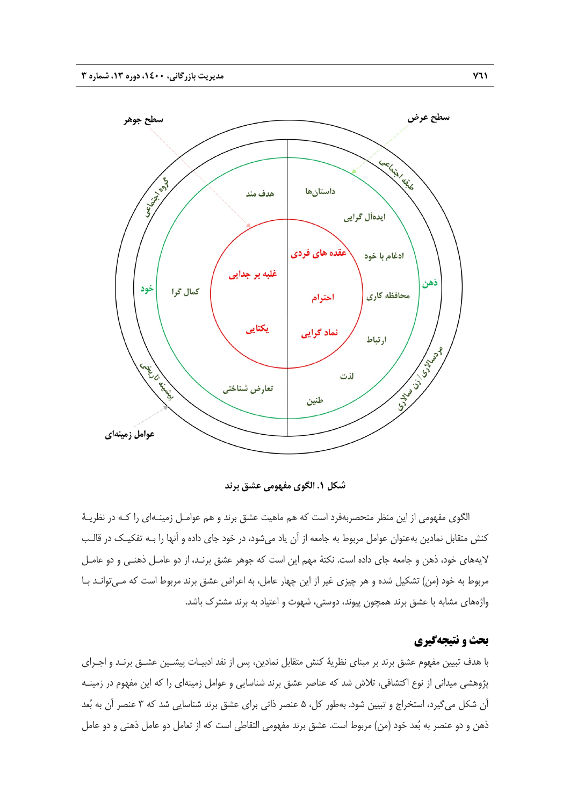

**شكل .1 الگوي مفهومي عشق برند** 

الگوي مفهومي از اين منظر منحصربهفرد است كه هم ماهيت عشق برند و هم عوامـل زمينـهاي را كـه در نظريـة كنش متقابل نمادين بهعنوان عوامل مربوط به جامعه از آن ياد ميشود، در خود جاي داده و آنها را بـه تفكيـك در قالـب لايههاي خود، ذهن و جامعه جاي داده است. نكتة مهم اين است كه جوهر عشق برنـد، از دو عامـل ذهنـي و دو عامـل مربوط به خود (من) تشكيل شده و هر چيزي غير از اين چهار عامل، به اعراض عشق برند مربوط است كه مـيتوانـد بـا واژههاي مشابه با عشق برند همچون پيوند، دوستي، شهوت و اعتياد به برند مشترك باشد.

# **بحث و نتيجهگيري**

با هدف تبيين مفهوم عشق برند بر مبناي نظرية كنش متقابل نمادين، پس از نقد ادبيـات پيشـين عشـق برنـد و اجـراي پژوهشي ميداني از نوع اكتشافي، تلاش شد كه عناصر عشق برند شناسايي و عوامل زمينهاي را كه اين مفهوم در زمينـه آن شكل ميگيرد، استخراج و تبيين شود. بهطور كل، 5 عنصر ذاتي براي عشق برند شناسايي شد كه 3 عنصر آن به بعد ذهن و دو عنصر به بعد خود (من) مربوط است. عشق برند مفهومي التقاطي است كه از تعامل دو عامل ذهني و دو عامل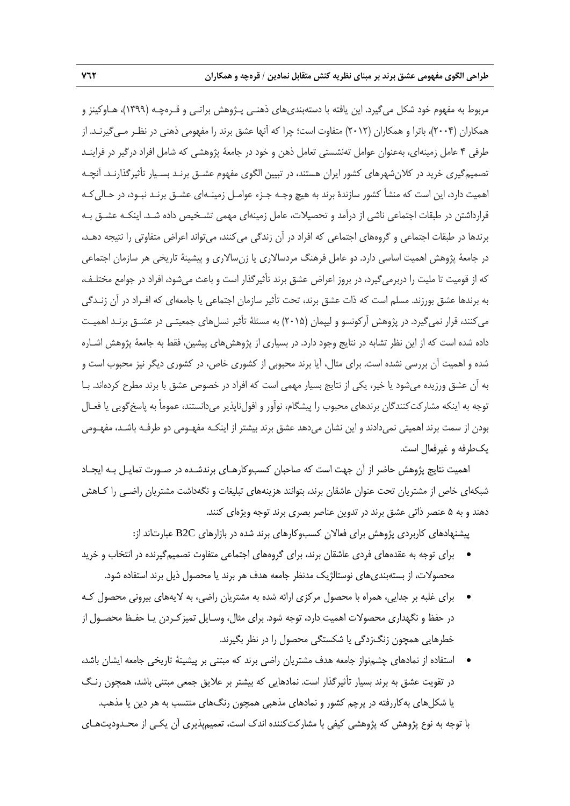مربوط به مفهوم خود شكل ميگيرد. اين يافته با دستهبنديهاي ذهنـي پـژوهش براتـي و قـرهچـه (1399)، هـاوكينز و همكاران (2004)، باترا و همكاران (2012) متفاوت است؛ چرا كه آنها عشق برند را مفهومي ذهني در نظـر مـيگيرنـد. از طرفي 4 عامل زمينهاي، بهعنوان عوامل تهنشستي تعامل ذهن و خود در جامعة پژوهشي كه شامل افراد درگير در فراينـد تصميمگيري خريد در كلانشهرهاي كشور ايران هستند، در تبيين الگوي مفهوم عشـق برنـد بسـيار تأثيرگذارنـد. آنچـه اهميت دارد، اين است كه منشأ كشور سازندة برند به هيچ وجـه جـزء عوامـل زمينـهاي عشـق برنـد نبـود، در حـاليكـه قرارداشتن در طبقات اجتماعي ناشي از درآمد و تحصيلات، عامل زمينهاي مهمي تشـخيص داده شـد. اينكـه عشـق بـه برندها در طبقات اجتماعي و گروههاي اجتماعي كه افراد در آن زندگي ميكنند، ميتواند اعراض متفاوتي را نتيجه دهـد، در جامعة پژوهش اهميت اساسي دارد. دو عامل فرهنگ مردسالاري يا زنسالاري و پيشينة تاريخي هر سازمان اجتماعي كه از قوميت تا مليت را دربرميگيرد، در بروز اعراض عشق برند تأثيرگذار است و باعث ميشود، افراد در جوامع مختلـف، به برندها عشق بورزند. مسلم است كه ذات عشق برند، تحت تأثير سازمان اجتماعي يا جامعهاي كه افـراد در آن زنـدگي ميكنند، قرار نميگيرد. در پژوهش آركونسو و ليپمان (2015) به مسئلة تأثير نسلهاي جمعيتـي در عشـق برنـد اهميـت داده شده است كه از اين نظر تشابه در نتايج وجود دارد. در بسياري از پژوهشهاي پيشين، فقط به جامعة پژوهش اشـاره شده و اهميت آن بررسي نشده است. براي مثال، آيا برند محبوبي از كشوري خاص، در كشوري ديگر نيز محبوب است و به آن عشق ورزيده ميشود يا خير، يكي از نتايج بسيار مهمي است كه افراد در خصوص عشق با برند مطرح كردهاند. بـا توجه به اينكه مشاركتكنندگان برندهاي محبوب را پيشگام، نوآور و افولiبايذير مي دانستند، عموماً به پاسخگويي يا فعـال بودن از سمت برند اهميتي نميدادند و اين نشان ميدهد عشق برند بيشتر از اينكـه مفهـومي دو طرفـه باشـد، مفهـومي يكطرفه و غيرفعال است.

اهميت نتايج پژوهش حاضر از آن جهت است كه صاحبان كسبوكارهـاي برندشـده در صـورت تمايـل بـه ايجـاد شبكهاي خاص از مشتريان تحت عنوان عاشقان برند، بتوانند هزينههاي تبليغات و نگهداشت مشتريان راضـي را كـاهش دهند و به 5 عنصر ذاتي عشق برند در تدوين عناصر بصري برند توجه ويژهاي كنند.

پيشنهادهاي كاربردي پژوهش براي فعالان كسبوكارهاي برند شده در بازارهاي C2B عبارتاند از:

- براي توجه به عقدههاي فردي عاشقان برند، براي گروههاي اجتماعي متفاوت تصميمگيرنده در انتخاب و خريد محصولات، از بستهبنديهاي نوستالژيك مدنظر جامعه هدف هر برند يا محصول ذيل برند استفاده شود.
- براي غلبه بر جدايي، همراه با محصول مركزي ارائه شده به مشتريان راضي، به لايههاي بيروني محصول كـه در حفظ و نگهداري محصولات اهميت دارد، توجه شود. براي مثال، وسـايل تميزكـردن يـا حفـظ محصـول از خطرهايي همچون زنگزدگي يا شكستگي محصول را در نظر بگيرند.
- استفاده از نمادهاي چشمنواز جامعه هدف مشتريان راضي برند كه مبتني بر پيشينة تاريخي جامعه ايشان باشد، در تقويت عشق به برند بسيار تأثيرگذار است. نمادهايي كه بيشتر بر علايق جمعي مبتني باشد، همچون رنـگ يا شكلهاي بهكاررفته در پرچم كشور و نمادهاي مذهبي همچون رنگهاي منتسب به هر دين يا مذهب.

با توجه به نوع پژوهش كه پژوهشي كيفي با مشاركتكننده اندك است، تعميمپذيري آن يكـي از محـدوديتهـاي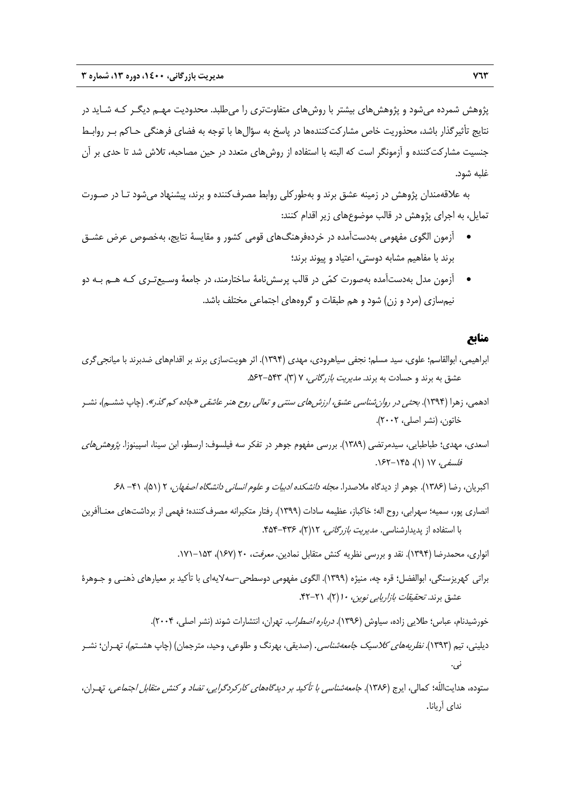پژوهش شمرده ميشود و پژوهشهاي بيشتر با روشهاي متفاوتتري را ميطلبد. محدوديت مهـم ديگـر كـه شـايد در نتايج تأثيرگذار باشد، محذوريت خاص مشاركتكنندهها در پاسخ به سؤالها با توجه به فضاي فرهنگي حـاكم بـر روابـط جنسيت مشاركتكننده و آزمونگر است كه البته با استفاده از روشهاي متعدد در حين مصاحبه، تلاش شد تا حدي بر آن غلبه شود.

به علاقهمندان پژوهش در زمينه عشق برند و بهطوركلي روابط مصرفكننده و برند، پيشنهاد ميشود تـا در صـورت تمايل، به اجراي پژوهش در قالب موضوعهاي زير اقدام كنند:

- آزمون الگوي مفهومي بهدستآمده در خردهفرهنگهاي قومي كشور و مقايسة نتايج، بهخصوص عرض عشـق برند با مفاهيم مشابه دوستي، اعتياد و پيوند برند؛
- آزمون مدل بهدستآمده بهصورت كمي در قالب پرسشنامة ساختارمند، در جامعة وسـيعتـري كـه هـم بـه دو نيمسازي (مرد و زن) شود و هم طبقات و گروههاي اجتماعي مختلف باشد.

# **منابع**

- ابراهيمي، ابوالقاسم؛ علوي، سيد مسلم؛ نجفي سياهرودي، مهدي (1394). اثر هويتسازي برند بر اقدامهاي ضدبرند با ميانجيگري عشق به برند و حسادت به برند. *مديريت بازرگاني، ۷ (*۳)، ۵۶۲-۵۶۲.
- ادهمي، زهرا (1394). بحثي در روانشناسي عشق، ارزشهاي سنتي <sup>و</sup> تعالي روح هنر عاشقي «جاده كم گذر». (چاپ ششـم)، نشـر خاتون، (نشر اصلي، 2002).
- اسعدي، مهدي؛ طباطبايي، سيدمرتضي (1389). بررسي مفهوم جوهر در تفكر سه فيلسوف: ارسطو، ابن سينا، اسپينوزا. پژوهشهاي فلسفي، 17 (1)، 162-145 .
	- اكبريان، رضا (1386). جوهر از ديدگاه ملاصدرا. مجله دانشكده ادبيات <sup>و</sup> علوم انساني دانشگاه اصفهان، 2 (51)، -41 .68
- انصاري پور، سميه؛ سهرابي، روح اله؛ خاكباز، عظيمه سادات (1399). رفتار متكبرانه مصرفكننده؛ فهمي از برداشتهاي معنـاآفرين با استفاده از پديدارشناسي. مديريت بازرگاني، 12(2)، .454-436

انواري، محمدرضا (١٣٩۴). نقد و بررسي نظريه كنش متقابل نمادين. *معرفت،* ٢٠ (١۶٧)، ١٥٣-١٧١.

براتي كهريزسنگي، ابوالفضل؛ قره چه، منيژه (1399). الگوي مفهومي دوسطحي-سهلايهاي با تأكيد بر معيارهاي ذهنـي و جـوهرة عشق برند. *تحقيقات بازاريابي نوين، ۱۰* (۲)، ۲۱–۴۲.

خورشيدنام، عباس؛ طلايي زاده، سياوش (١٣٩۶). *درباره اضطراب.* تهران، انتشارات شوند (نشر اصلي، ٢٠٠۴).

- ديليني، تيم (۱۳۹۳)*. نظريههاي كلاسيك جامعهشناسي*. (صديقي، بهرنگ و طلوعي، وحيد، مترجمان) (چاپ هشـتم)، تهـران؛ نشـر ني.
- ستوده، هدايتاللّه؛ كمالى، ايرج (1386). جامعهشناسى با تأكيد بر ديدگاههاى كاركردگرايى، تضاد <sup>و</sup> كنش متقابل اجتماعى، تهـران، نداى آريانا.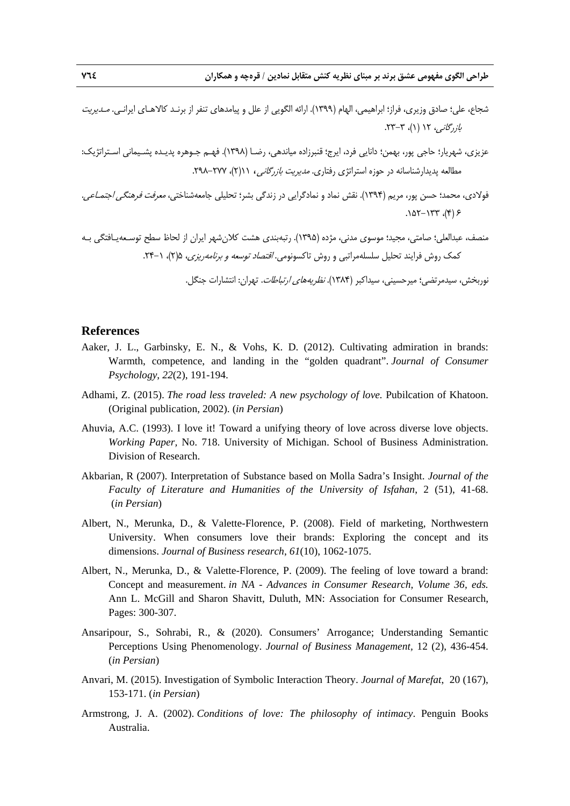- شجاع، علي؛ صادق وزيري، فراز؛ ابراهيمي، الهام (1399). ارائه الگويي از علل و پيامدهاي تنفر از برنـد كالاهـاي ايرانـي. مـديريت  $\lambda$ باز رگانيه، ۱۲ (۱)، ۳-۲۳.
- عزيزي، شهريار؛ حاجي پور، بهمن؛ دانايي فرد، ايرج؛ قنبرزاده مياندهي، رضـا (1398). فهـم جـوهره پديـده پشـيماني اسـتراتژيك: مطالعه پديدارشناسانه در حوزه استراتژي رفتاري. مديريت بازرگاني، 11(2)، 298-277 .
- فولادي، محمد؛ حسن پور، مريم (1394). نقش نماد و نمادگرايي در زندگي بشر؛ تحليلي جامعهشناختي، معرفت فرهنگي اجتمـاعي.  $(9)$ ,  $771 - 701$ .

منصف، عبدالعلي؛ صامتي، مجيد؛ موسوي مدني، مژده (1395). رتبهبندي هشت كلانشهر ايران از لحاظ سطح توسـعهيـافتگي بـه كمك روش فرايند تحليل سلسلهمراتبي و روش تاكسونومي. اقتصاد توسعه <sup>و</sup> برنامهريزي، 5(2)، .24-1

نوربخش، سيدمرتضي؛ ميرحسيني، سيداكبر (1384). نظريههاي ارتباطات. تهران: انتشارات جنگل.

### **References**

- Aaker, J. L., Garbinsky, E. N., & Vohs, K. D. (2012). Cultivating admiration in brands: Warmth, competence, and landing in the "golden quadrant". *Journal of Consumer Psychology*, *22*(2), 191-194.
- Adhami, Z. (2015). *The road less traveled: A new psychology of love.* Pubilcation of Khatoon. (Original publication, 2002). (*in Persian*)
- Ahuvia, A.C. (1993). I love it! Toward a unifying theory of love across diverse love objects. *Working Paper,* No. 718. University of Michigan. School of Business Administration. Division of Research.
- Akbarian, R (2007). Interpretation of Substance based on Molla Sadra's Insight. *Journal of the Faculty of Literature and Humanities of the University of Isfahan*, 2 (51), 41-68. (*in Persian*)
- Albert, N., Merunka, D., & Valette-Florence, P. (2008). Field of marketing, Northwestern University. When consumers love their brands: Exploring the concept and its dimensions. *Journal of Business research*, *61*(10), 1062-1075.
- Albert, N., Merunka, D., & Valette-Florence, P. (2009). The feeling of love toward a brand: Concept and measurement. *in NA - Advances in Consumer Research, Volume 36, eds.*  Ann L. McGill and Sharon Shavitt, Duluth, MN: Association for Consumer Research, Pages: 300-307.
- Ansaripour, S., Sohrabi, R., & (2020). Consumers' Arrogance; Understanding Semantic Perceptions Using Phenomenology. *Journal of Business Management,* 12 (2), 436-454. (*in Persian*)
- Anvari, M. (2015). Investigation of Symbolic Interaction Theory. *Journal of Marefat*, 20 (167), 153-171. (*in Persian*)
- Armstrong, J. A. (2002). *Conditions of love: The philosophy of intimacy*. Penguin Books Australia.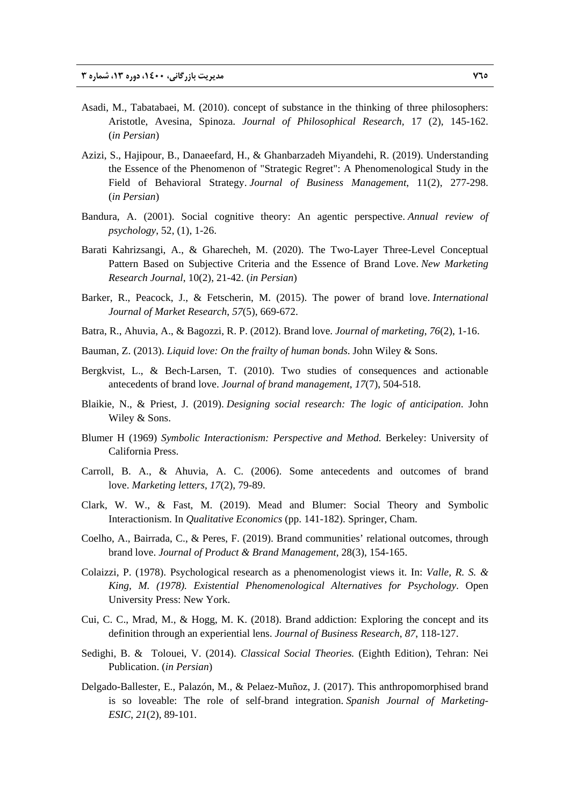- Asadi, M., Tabatabaei, M. (2010). concept of substance in the thinking of three philosophers: Aristotle, Avesina, Spinoza. *Journal of Philosophical Research,* 17 (2), 145-162. (*in Persian*)
- Azizi, S., Hajipour, B., Danaeefard, H., & Ghanbarzadeh Miyandehi, R. (2019). Understanding the Essence of the Phenomenon of "Strategic Regret": A Phenomenological Study in the Field of Behavioral Strategy. *Journal of Business Management*, 11(2), 277-298. (*in Persian*)
- Bandura, A. (2001). Social cognitive theory: An agentic perspective. *Annual review of psychology*, 52, (1), 1-26.
- Barati Kahrizsangi, A., & Gharecheh, M. (2020). The Two-Layer Three-Level Conceptual Pattern Based on Subjective Criteria and the Essence of Brand Love. *New Marketing Research Journal*, 10(2), 21-42. (*in Persian*)
- Barker, R., Peacock, J., & Fetscherin, M. (2015). The power of brand love. *International Journal of Market Research*, *57*(5), 669-672.
- Batra, R., Ahuvia, A., & Bagozzi, R. P. (2012). Brand love. *Journal of marketing*, *76*(2), 1-16.
- Bauman, Z. (2013). *Liquid love: On the frailty of human bonds*. John Wiley & Sons.
- Bergkvist, L., & Bech-Larsen, T. (2010). Two studies of consequences and actionable antecedents of brand love. *Journal of brand management*, *17*(7), 504-518.
- Blaikie, N., & Priest, J. (2019). *Designing social research: The logic of anticipation*. John Wiley & Sons.
- Blumer H (1969) *Symbolic Interactionism: Perspective and Method.* Berkeley: University of California Press.
- Carroll, B. A., & Ahuvia, A. C. (2006). Some antecedents and outcomes of brand love. *Marketing letters*, *17*(2), 79-89.
- Clark, W. W., & Fast, M. (2019). Mead and Blumer: Social Theory and Symbolic Interactionism. In *Qualitative Economics* (pp. 141-182). Springer, Cham.
- Coelho, A., Bairrada, C., & Peres, F. (2019). Brand communities' relational outcomes, through brand love. *Journal of Product & Brand Management*, 28(3), 154-165.
- Colaizzi, P. (1978). Psychological research as a phenomenologist views it. In: *Valle, R. S. & King, M. (1978). Existential Phenomenological Alternatives for Psychology*. Open University Press: New York.
- Cui, C. C., Mrad, M., & Hogg, M. K. (2018). Brand addiction: Exploring the concept and its definition through an experiential lens. *Journal of Business Research*, *87*, 118-127.
- Sedighi, B. & Tolouei, V. (2014). *Classical Social Theories.* (Eighth Edition), Tehran: Nei Publication. (*in Persian*)
- Delgado-Ballester, E., Palazón, M., & Pelaez-Muñoz, J. (2017). This anthropomorphised brand is so loveable: The role of self-brand integration. *Spanish Journal of Marketing-ESIC*, *21*(2), 89-101.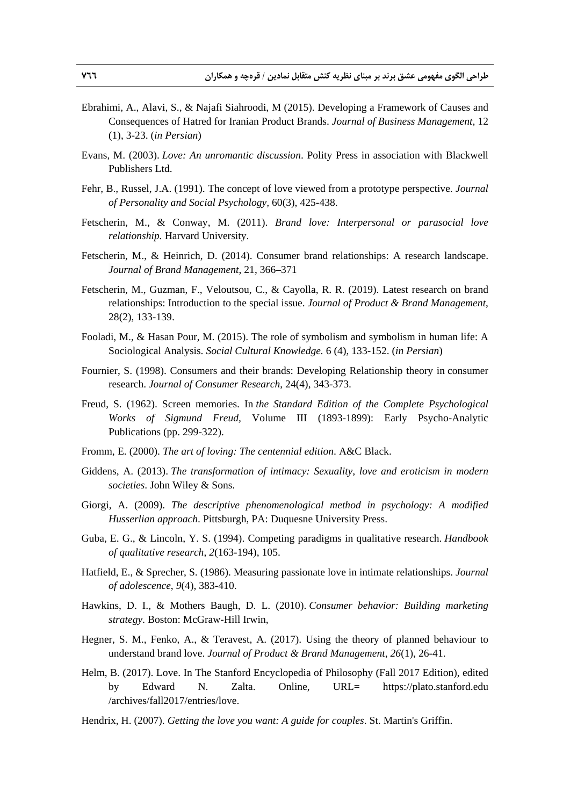- Ebrahimi, A., Alavi, S., & Najafi Siahroodi, M (2015). Developing a Framework of Causes and Consequences of Hatred for Iranian Product Brands. *Journal of Business Management,* 12 (1), 3-23. (*in Persian*)
- Evans, M. (2003). *Love: An unromantic discussion*. Polity Press in association with Blackwell Publishers Ltd.
- Fehr, B., Russel, J.A. (1991). The concept of love viewed from a prototype perspective. *Journal of Personality and Social Psychology,* 60(3), 425-438.
- Fetscherin, M., & Conway, M. (2011). *Brand love: Interpersonal or parasocial love relationship.* Harvard University.
- Fetscherin, M., & Heinrich, D. (2014). Consumer brand relationships: A research landscape. *Journal of Brand Management*, 21, 366–371
- Fetscherin, M., Guzman, F., Veloutsou, C., & Cayolla, R. R. (2019). Latest research on brand relationships: Introduction to the special issue. *Journal of Product & Brand Management*, 28(2), 133-139.
- Fooladi, M., & Hasan Pour, M. (2015). The role of symbolism and symbolism in human life: A Sociological Analysis. *Social Cultural Knowledge.* 6 (4), 133-152. (*in Persian*)
- Fournier, S. (1998). Consumers and their brands: Developing Relationship theory in consumer research. *Journal of Consumer Research*, 24(4), 343-373.
- Freud, S. (1962). Screen memories. In *the Standard Edition of the Complete Psychological Works of Sigmund Freud,* Volume III (1893-1899): Early Psycho-Analytic Publications (pp. 299-322).
- Fromm, E. (2000). *The art of loving: The centennial edition*. A&C Black.
- Giddens, A. (2013). *The transformation of intimacy: Sexuality, love and eroticism in modern societies*. John Wiley & Sons.
- Giorgi, A. (2009). *The descriptive phenomenological method in psychology: A modified Husserlian approach*. Pittsburgh, PA: Duquesne University Press.
- Guba, E. G., & Lincoln, Y. S. (1994). Competing paradigms in qualitative research. *Handbook of qualitative research*, *2*(163-194), 105.
- Hatfield, E., & Sprecher, S. (1986). Measuring passionate love in intimate relationships. *Journal of adolescence*, *9*(4), 383-410.
- Hawkins, D. I., & Mothers Baugh, D. L. (2010). *Consumer behavior: Building marketing strategy*. Boston: McGraw-Hill Irwin,
- Hegner, S. M., Fenko, A., & Teravest, A. (2017). Using the theory of planned behaviour to understand brand love. *Journal of Product & Brand Management*, *26*(1), 26-41.
- Helm, B. (2017). Love. In The Stanford Encyclopedia of Philosophy (Fall 2017 Edition), edited by Edward N. Zalta. Online, URL= https://plato.stanford.edu /archives/fall2017/entries/love.
- Hendrix, H. (2007). *Getting the love you want: A guide for couples*. St. Martin's Griffin.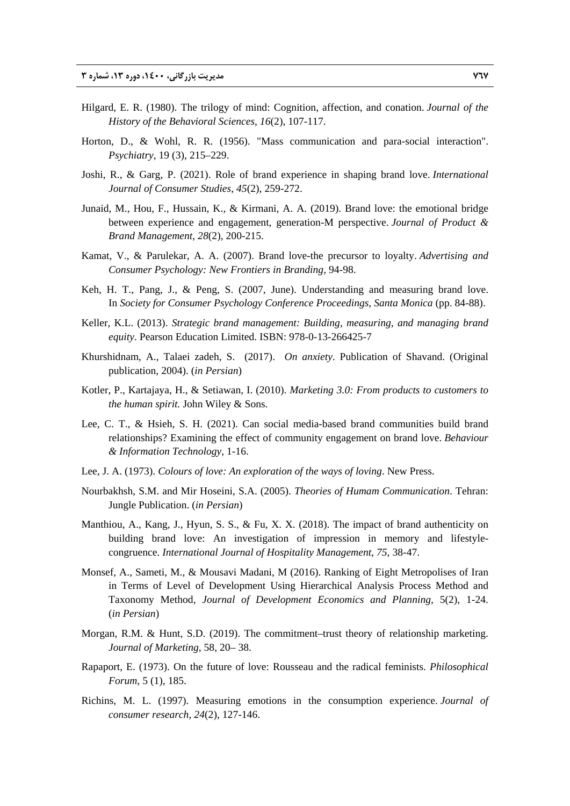- Hilgard, E. R. (1980). The trilogy of mind: Cognition, affection, and conation. *Journal of the History of the Behavioral Sciences*, *16*(2), 107-117.
- Horton, D., & Wohl, R. R. (1956). "Mass communication and para-social interaction". *Psychiatry*, 19 (3), 215–229.
- Joshi, R., & Garg, P. (2021). Role of brand experience in shaping brand love. *International Journal of Consumer Studies*, *45*(2), 259-272.
- Junaid, M., Hou, F., Hussain, K., & Kirmani, A. A. (2019). Brand love: the emotional bridge between experience and engagement, generation-M perspective. *Journal of Product & Brand Management*, *28*(2), 200-215.
- Kamat, V., & Parulekar, A. A. (2007). Brand love-the precursor to loyalty. *Advertising and Consumer Psychology: New Frontiers in Branding*, 94-98.
- Keh, H. T., Pang, J., & Peng, S. (2007, June). Understanding and measuring brand love. In *Society for Consumer Psychology Conference Proceedings, Santa Monica* (pp. 84-88).
- Keller, K.L. (2013). *Strategic brand management: Building, measuring, and managing brand equity*. Pearson Education Limited. ISBN: 978-0-13-266425-7
- Khurshidnam, A., Talaei zadeh, S. (2017). *On anxiety*. Publication of Shavand. (Original publication, 2004). (*in Persian*)
- Kotler, P., Kartajaya, H., & Setiawan, I. (2010). *Marketing 3.0: From products to customers to the human spirit.* John Wiley & Sons.
- Lee, C. T., & Hsieh, S. H. (2021). Can social media-based brand communities build brand relationships? Examining the effect of community engagement on brand love. *Behaviour & Information Technology*, 1-16.
- Lee, J. A. (1973). *Colours of love: An exploration of the ways of loving*. New Press.
- Nourbakhsh, S.M. and Mir Hoseini, S.A. (2005). *Theories of Humam Communication*. Tehran: Jungle Publication. (*in Persian*)
- Manthiou, A., Kang, J., Hyun, S. S., & Fu, X. X. (2018). The impact of brand authenticity on building brand love: An investigation of impression in memory and lifestylecongruence. *International Journal of Hospitality Management*, *75*, 38-47.
- Monsef, A., Sameti, M., & Mousavi Madani, M (2016). Ranking of Eight Metropolises of Iran in Terms of Level of Development Using Hierarchical Analysis Process Method and Taxonomy Method, *Journal of Development Economics and Planning,* 5(2), 1-24. (*in Persian*)
- Morgan, R.M. & Hunt, S.D. (2019). The commitment–trust theory of relationship marketing. *Journal of Marketing,* 58, 20– 38.
- Rapaport, E. (1973). On the future of love: Rousseau and the radical feminists. *Philosophical Forum*, 5 (1), 185.
- Richins, M. L. (1997). Measuring emotions in the consumption experience. *Journal of consumer research*, *24*(2), 127-146.